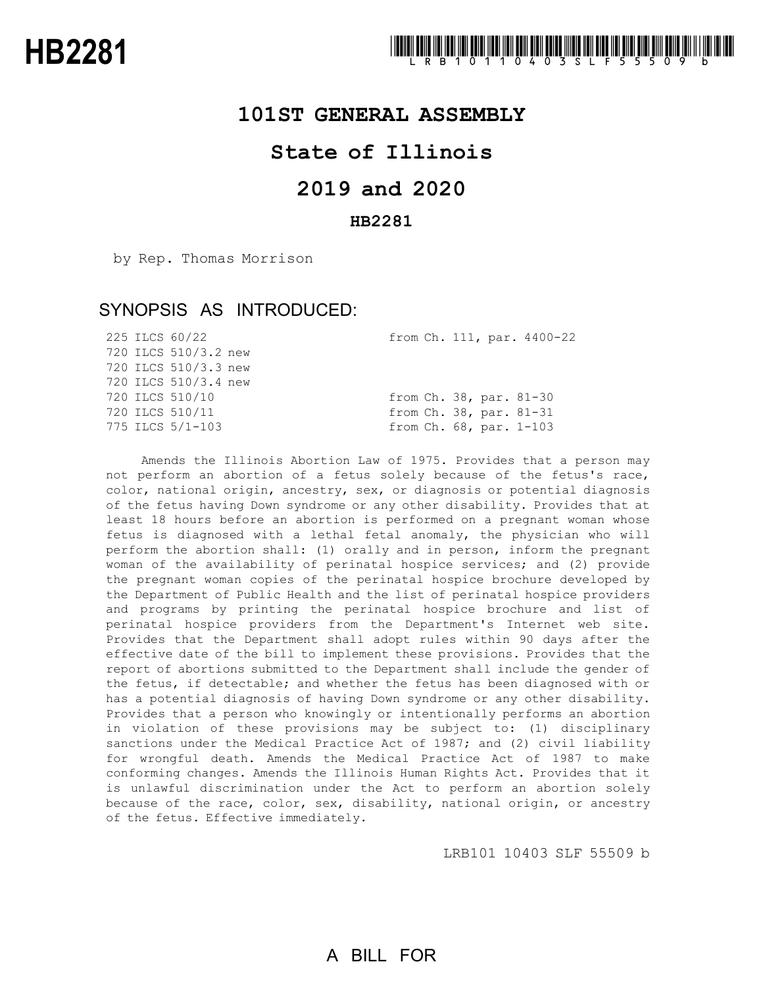### **101ST GENERAL ASSEMBLY**

## **State of Illinois**

## **2019 and 2020**

#### **HB2281**

by Rep. Thomas Morrison

## SYNOPSIS AS INTRODUCED:

|  | 225 ILCS 60/22       |  |  | from Ch. 111, par. 4400-22 |
|--|----------------------|--|--|----------------------------|
|  | 720 ILCS 510/3.2 new |  |  |                            |
|  | 720 ILCS 510/3.3 new |  |  |                            |
|  | 720 ILCS 510/3.4 new |  |  |                            |
|  | 720 ILCS 510/10      |  |  | from Ch. 38, par. 81-30    |
|  | 720 ILCS 510/11      |  |  | from Ch. 38, par. 81-31    |
|  | 775 ILCS 5/1-103     |  |  | from Ch. 68, par. 1-103    |
|  |                      |  |  |                            |

Amends the Illinois Abortion Law of 1975. Provides that a person may not perform an abortion of a fetus solely because of the fetus's race, color, national origin, ancestry, sex, or diagnosis or potential diagnosis of the fetus having Down syndrome or any other disability. Provides that at least 18 hours before an abortion is performed on a pregnant woman whose fetus is diagnosed with a lethal fetal anomaly, the physician who will perform the abortion shall: (1) orally and in person, inform the pregnant woman of the availability of perinatal hospice services; and (2) provide the pregnant woman copies of the perinatal hospice brochure developed by the Department of Public Health and the list of perinatal hospice providers and programs by printing the perinatal hospice brochure and list of perinatal hospice providers from the Department's Internet web site. Provides that the Department shall adopt rules within 90 days after the effective date of the bill to implement these provisions. Provides that the report of abortions submitted to the Department shall include the gender of the fetus, if detectable; and whether the fetus has been diagnosed with or has a potential diagnosis of having Down syndrome or any other disability. Provides that a person who knowingly or intentionally performs an abortion in violation of these provisions may be subject to: (1) disciplinary sanctions under the Medical Practice Act of 1987; and (2) civil liability for wrongful death. Amends the Medical Practice Act of 1987 to make conforming changes. Amends the Illinois Human Rights Act. Provides that it is unlawful discrimination under the Act to perform an abortion solely because of the race, color, sex, disability, national origin, or ancestry of the fetus. Effective immediately.

LRB101 10403 SLF 55509 b

## A BILL FOR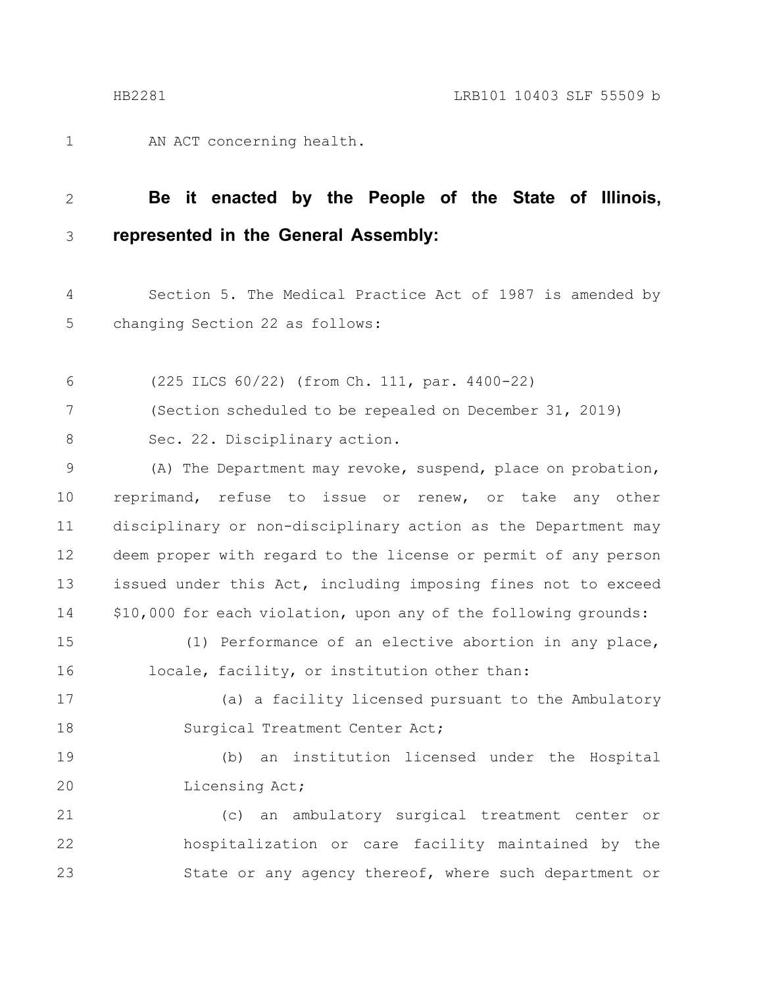AN ACT concerning health. 1

#### **Be it enacted by the People of the State of Illinois, represented in the General Assembly:** 2 3

Section 5. The Medical Practice Act of 1987 is amended by changing Section 22 as follows: 4 5

(225 ILCS 60/22) (from Ch. 111, par. 4400-22) 6

(Section scheduled to be repealed on December 31, 2019) 7

Sec. 22. Disciplinary action. 8

(A) The Department may revoke, suspend, place on probation, reprimand, refuse to issue or renew, or take any other disciplinary or non-disciplinary action as the Department may deem proper with regard to the license or permit of any person issued under this Act, including imposing fines not to exceed \$10,000 for each violation, upon any of the following grounds: 9 10 11 12 13 14

(1) Performance of an elective abortion in any place, locale, facility, or institution other than: 15 16

(a) a facility licensed pursuant to the Ambulatory Surgical Treatment Center Act; 17 18

(b) an institution licensed under the Hospital Licensing Act; 19 20

(c) an ambulatory surgical treatment center or hospitalization or care facility maintained by the State or any agency thereof, where such department or 21 22 23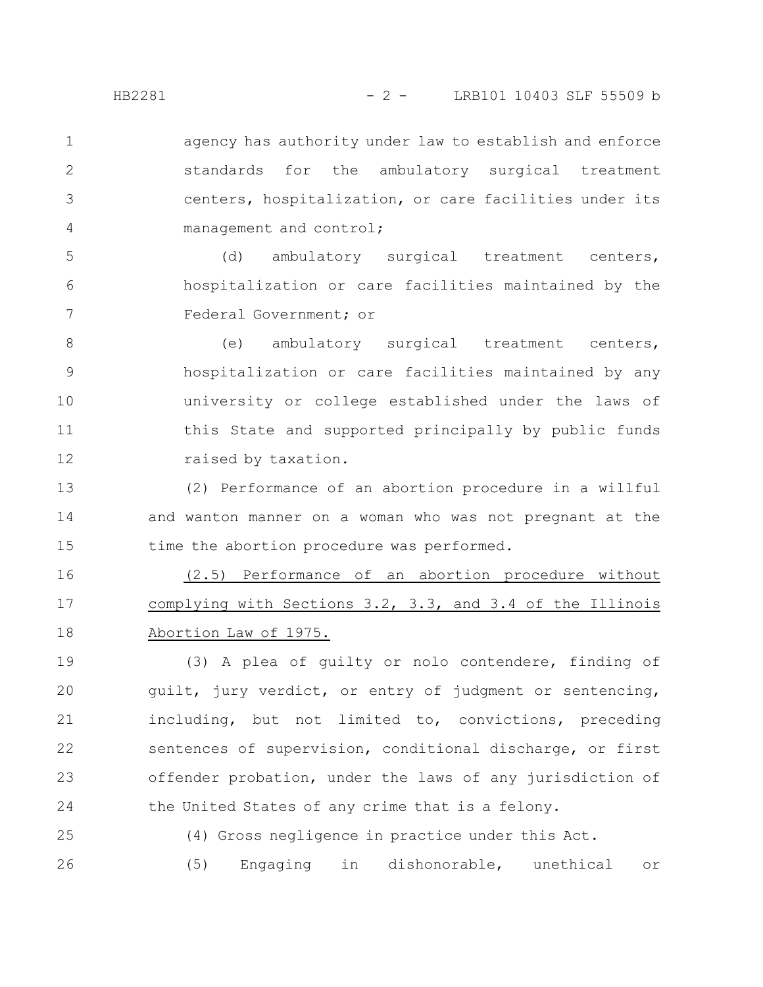agency has authority under law to establish and enforce standards for the ambulatory surgical treatment centers, hospitalization, or care facilities under its management and control; 1 2 3 4

(d) ambulatory surgical treatment centers, hospitalization or care facilities maintained by the Federal Government; or 5 6 7

(e) ambulatory surgical treatment centers, hospitalization or care facilities maintained by any university or college established under the laws of this State and supported principally by public funds raised by taxation. 8 9 10 11 12

(2) Performance of an abortion procedure in a willful and wanton manner on a woman who was not pregnant at the time the abortion procedure was performed. 13 14 15

(2.5) Performance of an abortion procedure without complying with Sections 3.2, 3.3, and 3.4 of the Illinois Abortion Law of 1975. 16 17 18

(3) A plea of guilty or nolo contendere, finding of guilt, jury verdict, or entry of judgment or sentencing, including, but not limited to, convictions, preceding sentences of supervision, conditional discharge, or first offender probation, under the laws of any jurisdiction of the United States of any crime that is a felony. 19 20 21 22 23 24

(4) Gross negligence in practice under this Act. (5) Engaging in dishonorable, unethical or 25 26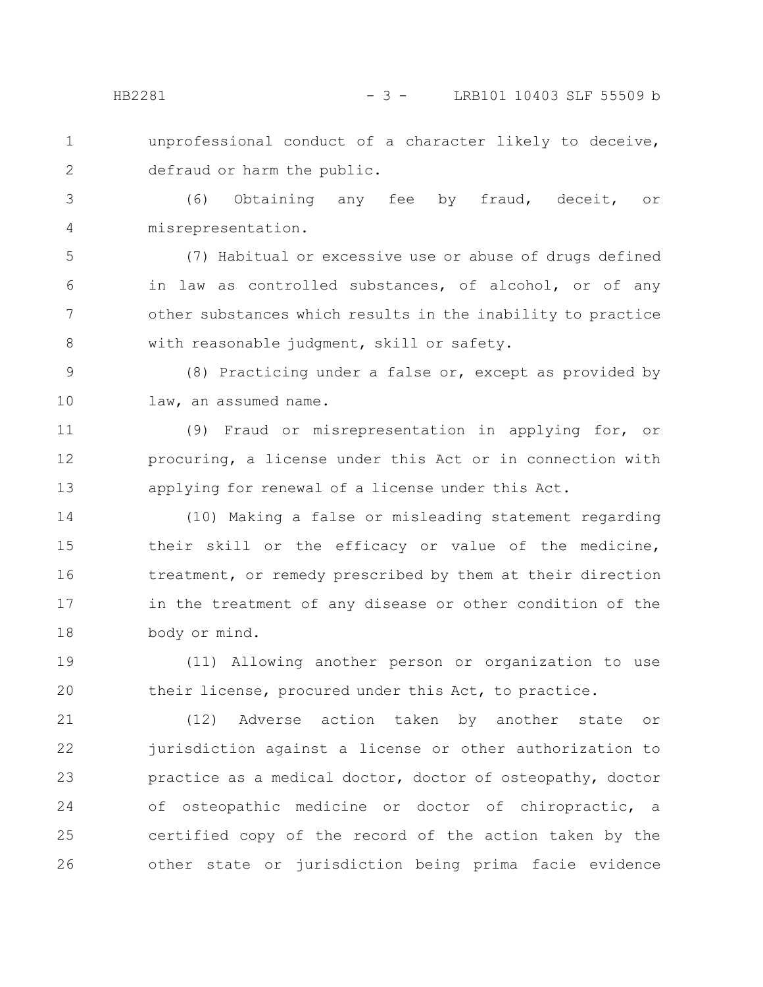1 2 unprofessional conduct of a character likely to deceive, defraud or harm the public.

(6) Obtaining any fee by fraud, deceit, or misrepresentation. 3 4

(7) Habitual or excessive use or abuse of drugs defined in law as controlled substances, of alcohol, or of any other substances which results in the inability to practice with reasonable judgment, skill or safety. 5 6 7 8

(8) Practicing under a false or, except as provided by law, an assumed name. 9 10

(9) Fraud or misrepresentation in applying for, or procuring, a license under this Act or in connection with applying for renewal of a license under this Act. 11 12 13

(10) Making a false or misleading statement regarding their skill or the efficacy or value of the medicine, treatment, or remedy prescribed by them at their direction in the treatment of any disease or other condition of the body or mind. 14 15 16 17 18

(11) Allowing another person or organization to use their license, procured under this Act, to practice. 19 20

(12) Adverse action taken by another state or jurisdiction against a license or other authorization to practice as a medical doctor, doctor of osteopathy, doctor of osteopathic medicine or doctor of chiropractic, a certified copy of the record of the action taken by the other state or jurisdiction being prima facie evidence 21 22 23 24 25 26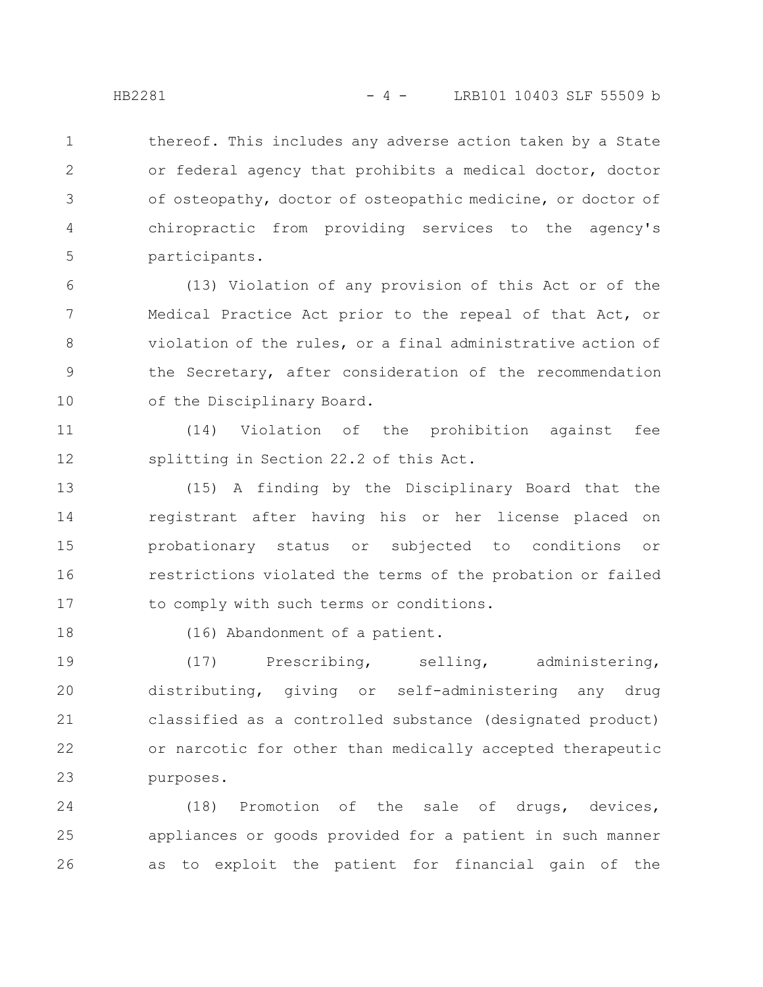thereof. This includes any adverse action taken by a State or federal agency that prohibits a medical doctor, doctor of osteopathy, doctor of osteopathic medicine, or doctor of chiropractic from providing services to the agency's participants. 1 2 3 4 5

(13) Violation of any provision of this Act or of the Medical Practice Act prior to the repeal of that Act, or violation of the rules, or a final administrative action of the Secretary, after consideration of the recommendation of the Disciplinary Board. 6 7 8 9 10

(14) Violation of the prohibition against fee splitting in Section 22.2 of this Act. 11 12

(15) A finding by the Disciplinary Board that the registrant after having his or her license placed on probationary status or subjected to conditions or restrictions violated the terms of the probation or failed to comply with such terms or conditions. 13 14 15 16 17

18

(16) Abandonment of a patient.

(17) Prescribing, selling, administering, distributing, giving or self-administering any drug classified as a controlled substance (designated product) or narcotic for other than medically accepted therapeutic purposes. 19 20 21 22 23

(18) Promotion of the sale of drugs, devices, appliances or goods provided for a patient in such manner as to exploit the patient for financial gain of the 24 25 26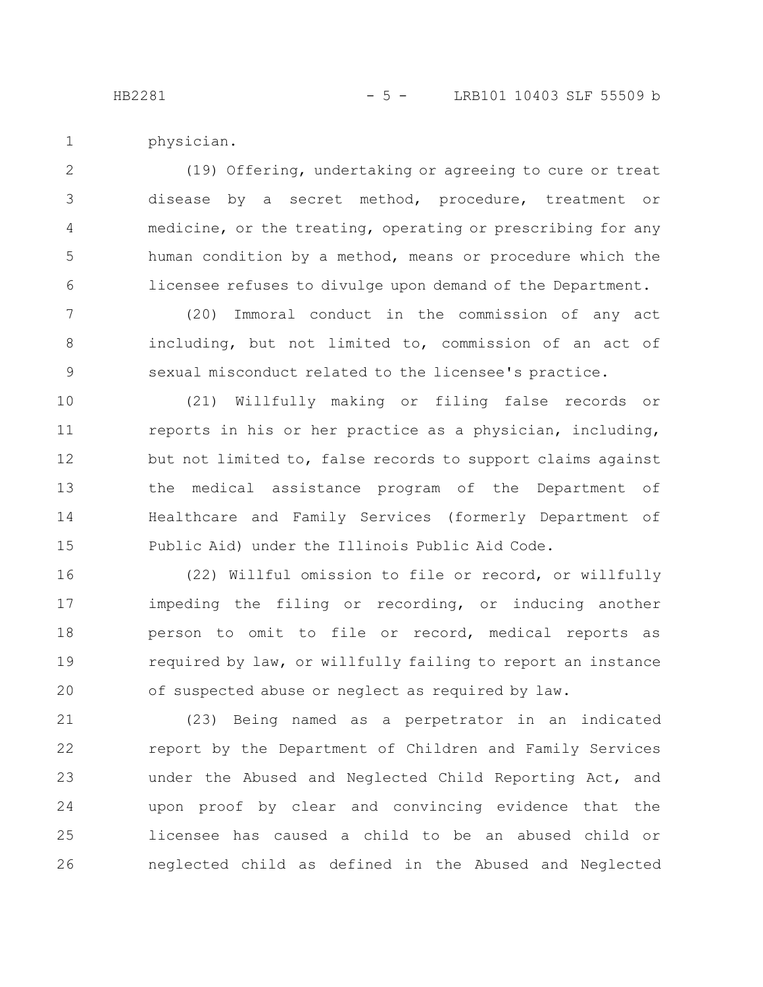HB2281 - 5 - LRB101 10403 SLF 55509 b

physician. 1

(19) Offering, undertaking or agreeing to cure or treat disease by a secret method, procedure, treatment or medicine, or the treating, operating or prescribing for any human condition by a method, means or procedure which the licensee refuses to divulge upon demand of the Department. 2 3 4 5 6

(20) Immoral conduct in the commission of any act including, but not limited to, commission of an act of sexual misconduct related to the licensee's practice. 7 8 9

(21) Willfully making or filing false records or reports in his or her practice as a physician, including, but not limited to, false records to support claims against the medical assistance program of the Department of Healthcare and Family Services (formerly Department of Public Aid) under the Illinois Public Aid Code. 10 11 12 13 14 15

(22) Willful omission to file or record, or willfully impeding the filing or recording, or inducing another person to omit to file or record, medical reports as required by law, or willfully failing to report an instance of suspected abuse or neglect as required by law. 16 17 18 19 20

(23) Being named as a perpetrator in an indicated report by the Department of Children and Family Services under the Abused and Neglected Child Reporting Act, and upon proof by clear and convincing evidence that the licensee has caused a child to be an abused child or neglected child as defined in the Abused and Neglected 21 22 23 24 25 26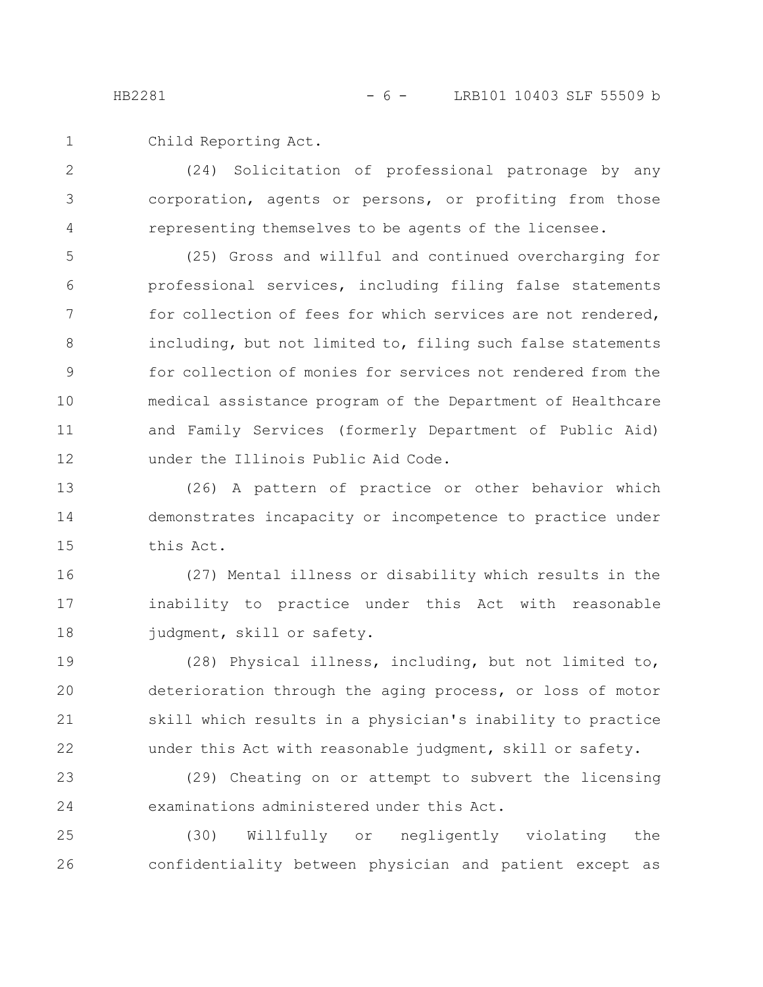Child Reporting Act. 1

(24) Solicitation of professional patronage by any corporation, agents or persons, or profiting from those representing themselves to be agents of the licensee. 2 3 4

(25) Gross and willful and continued overcharging for professional services, including filing false statements for collection of fees for which services are not rendered, including, but not limited to, filing such false statements for collection of monies for services not rendered from the medical assistance program of the Department of Healthcare and Family Services (formerly Department of Public Aid) under the Illinois Public Aid Code. 5 6 7 8 9 10 11 12

(26) A pattern of practice or other behavior which demonstrates incapacity or incompetence to practice under this Act. 13 14 15

(27) Mental illness or disability which results in the inability to practice under this Act with reasonable judgment, skill or safety. 16 17 18

(28) Physical illness, including, but not limited to, deterioration through the aging process, or loss of motor skill which results in a physician's inability to practice under this Act with reasonable judgment, skill or safety. 19 20 21 22

(29) Cheating on or attempt to subvert the licensing examinations administered under this Act. 23 24

(30) Willfully or negligently violating the confidentiality between physician and patient except as 25 26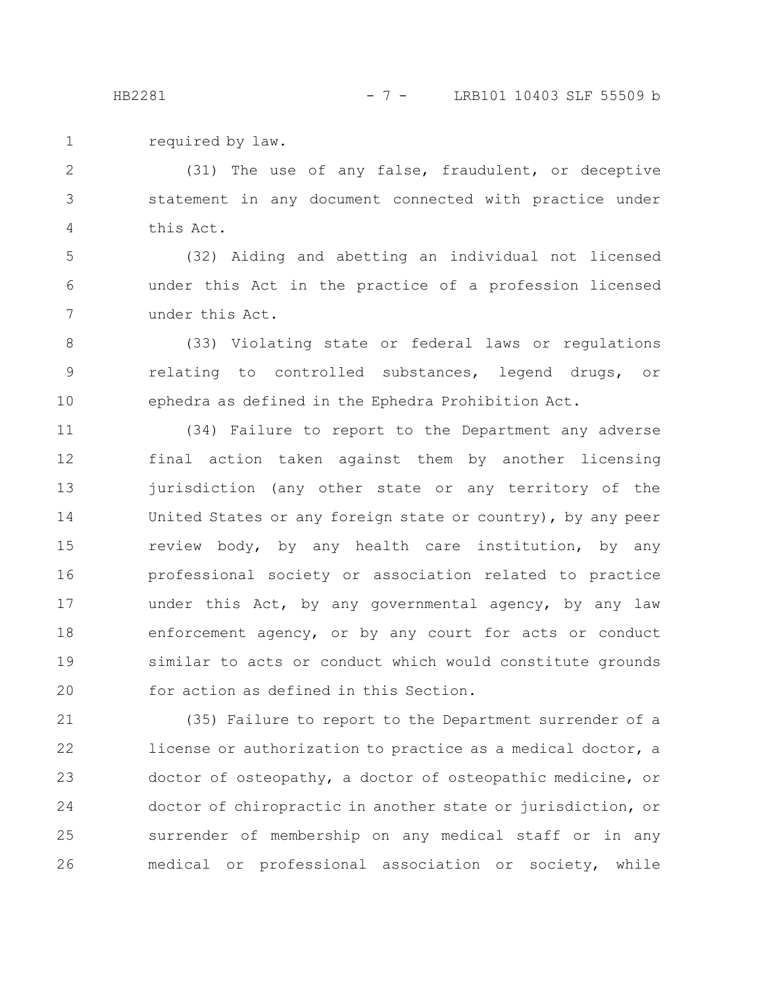required by law. 1

(31) The use of any false, fraudulent, or deceptive statement in any document connected with practice under this Act. 2 3 4

(32) Aiding and abetting an individual not licensed under this Act in the practice of a profession licensed under this Act. 5 6 7

(33) Violating state or federal laws or regulations relating to controlled substances, legend drugs, or ephedra as defined in the Ephedra Prohibition Act. 8 9 10

(34) Failure to report to the Department any adverse final action taken against them by another licensing jurisdiction (any other state or any territory of the United States or any foreign state or country), by any peer review body, by any health care institution, by any professional society or association related to practice under this Act, by any governmental agency, by any law enforcement agency, or by any court for acts or conduct similar to acts or conduct which would constitute grounds for action as defined in this Section. 11 12 13 14 15 16 17 18 19 20

(35) Failure to report to the Department surrender of a license or authorization to practice as a medical doctor, a doctor of osteopathy, a doctor of osteopathic medicine, or doctor of chiropractic in another state or jurisdiction, or surrender of membership on any medical staff or in any medical or professional association or society, while 21 22 23 24 25 26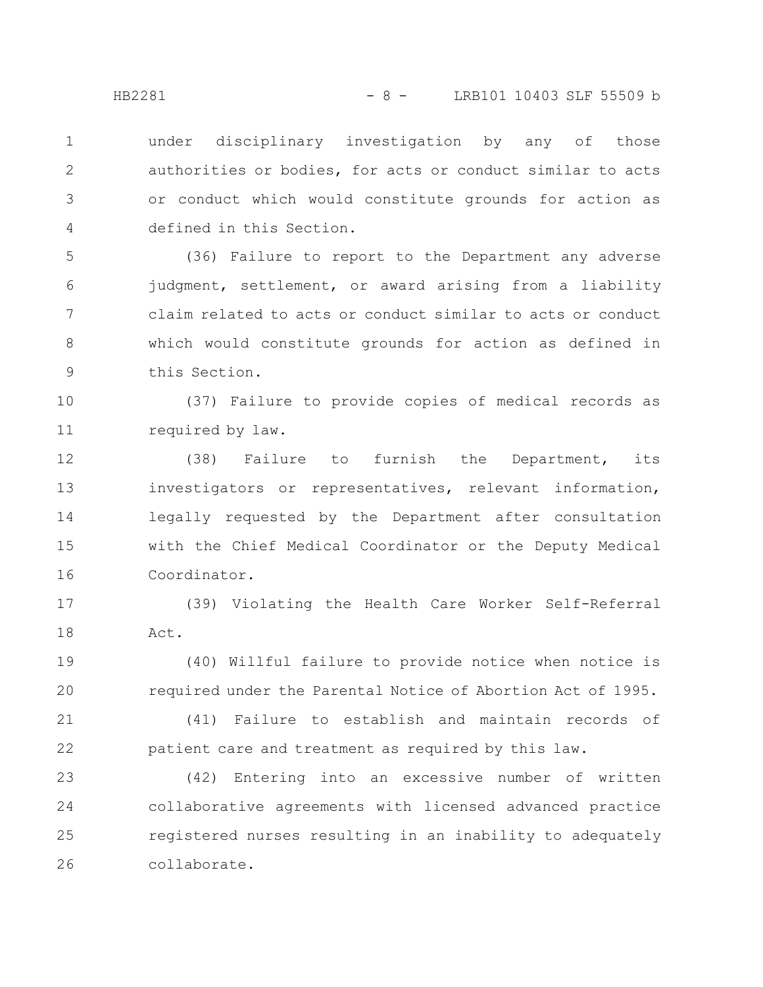under disciplinary investigation by any of those authorities or bodies, for acts or conduct similar to acts or conduct which would constitute grounds for action as defined in this Section. 1 2 3 4

(36) Failure to report to the Department any adverse judgment, settlement, or award arising from a liability claim related to acts or conduct similar to acts or conduct which would constitute grounds for action as defined in this Section. 5 6 7 8 9

(37) Failure to provide copies of medical records as required by law. 10 11

(38) Failure to furnish the Department, its investigators or representatives, relevant information, legally requested by the Department after consultation with the Chief Medical Coordinator or the Deputy Medical Coordinator. 12 13 14 15 16

(39) Violating the Health Care Worker Self-Referral Act. 17 18

(40) Willful failure to provide notice when notice is required under the Parental Notice of Abortion Act of 1995. 19 20

(41) Failure to establish and maintain records of patient care and treatment as required by this law. 21 22

(42) Entering into an excessive number of written collaborative agreements with licensed advanced practice registered nurses resulting in an inability to adequately collaborate. 23 24 25 26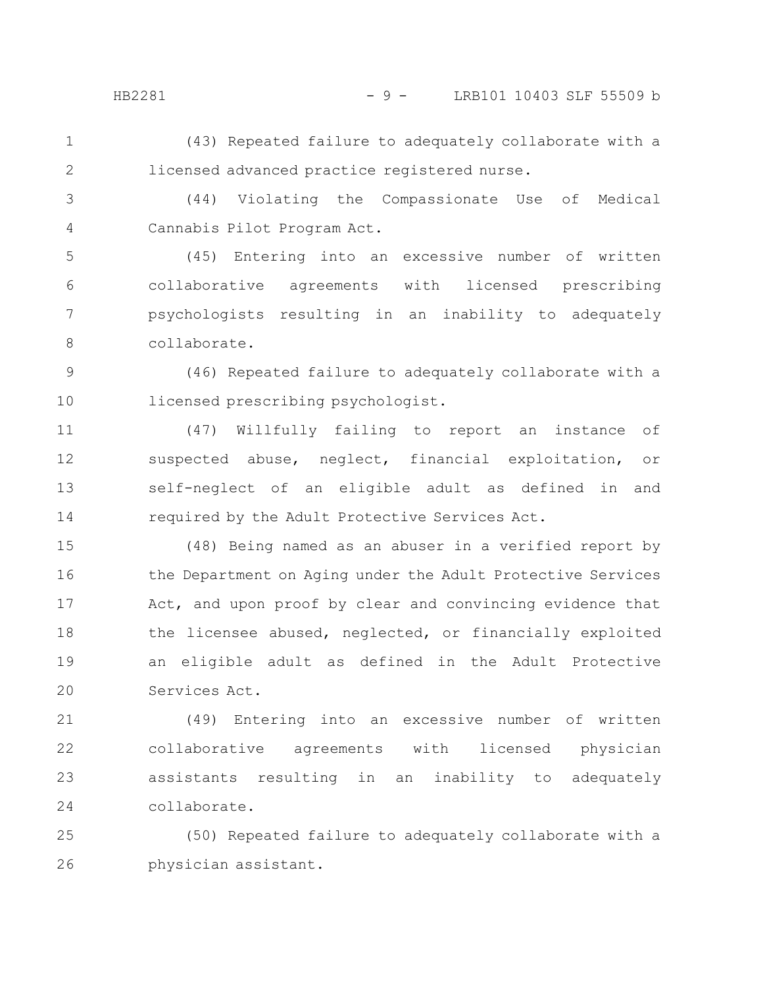#### HB2281 - 9 - LRB101 10403 SLF 55509 b

(43) Repeated failure to adequately collaborate with a licensed advanced practice registered nurse. 1 2

(44) Violating the Compassionate Use of Medical Cannabis Pilot Program Act. 3 4

(45) Entering into an excessive number of written collaborative agreements with licensed prescribing psychologists resulting in an inability to adequately collaborate. 5 6 7 8

(46) Repeated failure to adequately collaborate with a licensed prescribing psychologist. 9 10

(47) Willfully failing to report an instance of suspected abuse, neglect, financial exploitation, or self-neglect of an eligible adult as defined in and required by the Adult Protective Services Act. 11 12 13 14

(48) Being named as an abuser in a verified report by the Department on Aging under the Adult Protective Services Act, and upon proof by clear and convincing evidence that the licensee abused, neglected, or financially exploited an eligible adult as defined in the Adult Protective Services Act. 15 16 17 18 19 20

(49) Entering into an excessive number of written collaborative agreements with licensed physician assistants resulting in an inability to adequately collaborate. 21 22 23 24

(50) Repeated failure to adequately collaborate with a physician assistant. 25 26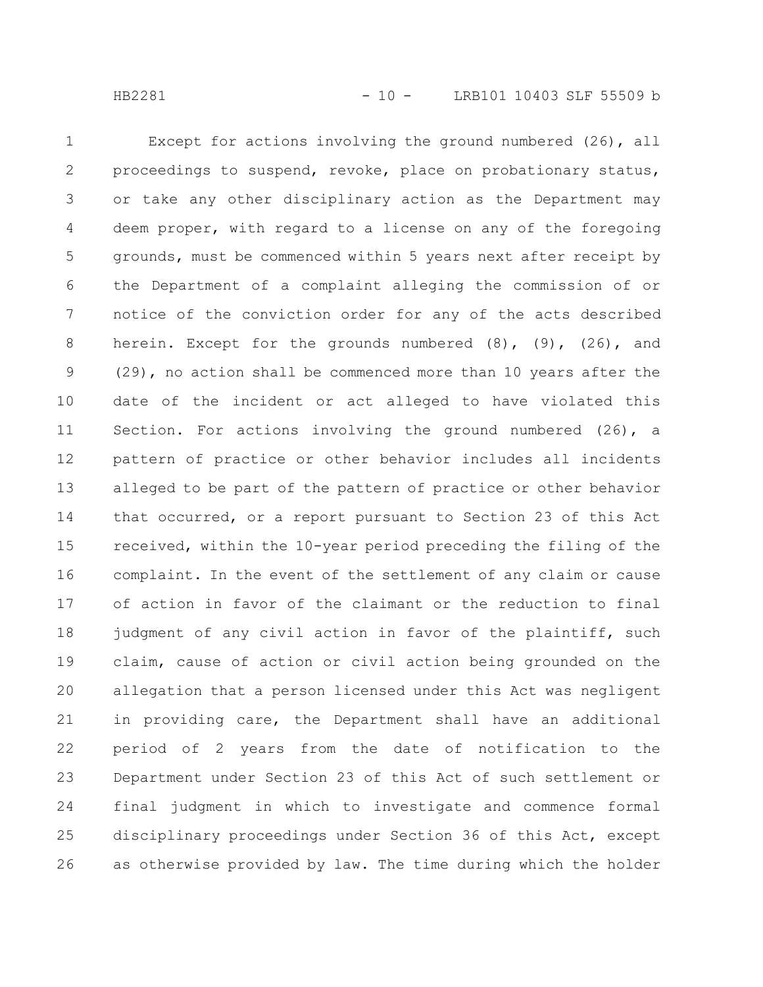Except for actions involving the ground numbered (26), all proceedings to suspend, revoke, place on probationary status, or take any other disciplinary action as the Department may deem proper, with regard to a license on any of the foregoing

grounds, must be commenced within 5 years next after receipt by the Department of a complaint alleging the commission of or notice of the conviction order for any of the acts described herein. Except for the grounds numbered (8), (9), (26), and (29), no action shall be commenced more than 10 years after the date of the incident or act alleged to have violated this Section. For actions involving the ground numbered (26), a pattern of practice or other behavior includes all incidents alleged to be part of the pattern of practice or other behavior that occurred, or a report pursuant to Section 23 of this Act received, within the 10-year period preceding the filing of the complaint. In the event of the settlement of any claim or cause of action in favor of the claimant or the reduction to final judgment of any civil action in favor of the plaintiff, such claim, cause of action or civil action being grounded on the allegation that a person licensed under this Act was negligent in providing care, the Department shall have an additional period of 2 years from the date of notification to the Department under Section 23 of this Act of such settlement or final judgment in which to investigate and commence formal disciplinary proceedings under Section 36 of this Act, except as otherwise provided by law. The time during which the holder 5 6 7 8 9 10 11 12 13 14 15 16 17 18 19 20 21 22 23 24 25 26

1

2

3

4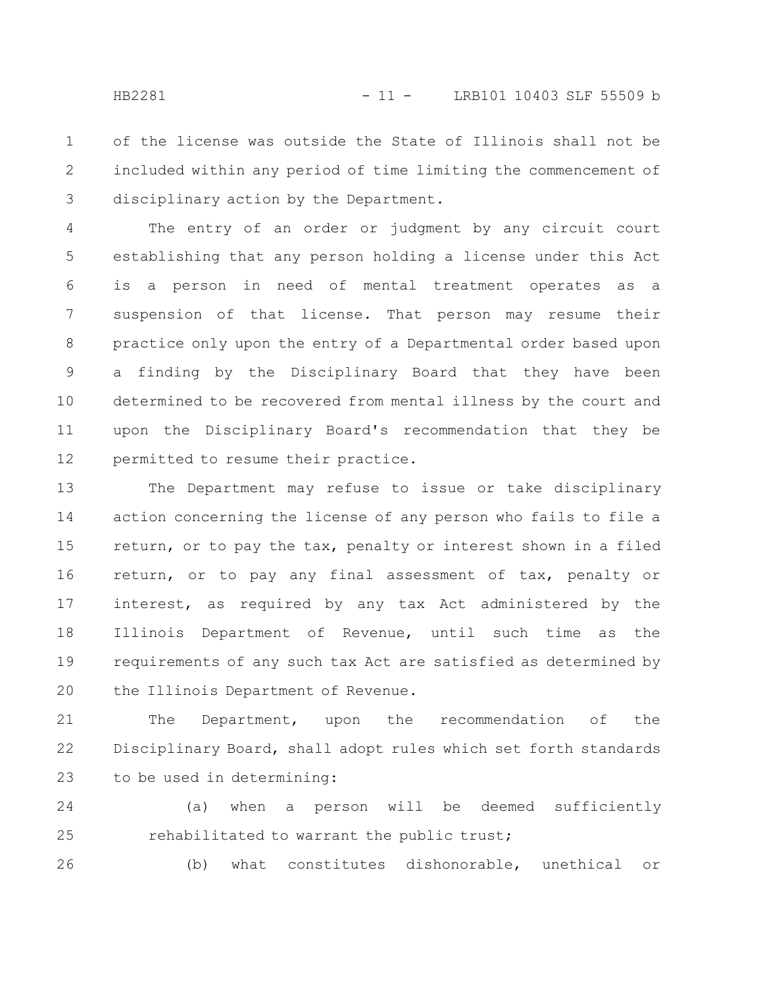of the license was outside the State of Illinois shall not be included within any period of time limiting the commencement of disciplinary action by the Department. 1 2 3

The entry of an order or judgment by any circuit court establishing that any person holding a license under this Act is a person in need of mental treatment operates as a suspension of that license. That person may resume their practice only upon the entry of a Departmental order based upon a finding by the Disciplinary Board that they have been determined to be recovered from mental illness by the court and upon the Disciplinary Board's recommendation that they be permitted to resume their practice. 4 5 6 7 8 9 10 11 12

The Department may refuse to issue or take disciplinary action concerning the license of any person who fails to file a return, or to pay the tax, penalty or interest shown in a filed return, or to pay any final assessment of tax, penalty or interest, as required by any tax Act administered by the Illinois Department of Revenue, until such time as the requirements of any such tax Act are satisfied as determined by the Illinois Department of Revenue. 13 14 15 16 17 18 19 20

The Department, upon the recommendation of the Disciplinary Board, shall adopt rules which set forth standards to be used in determining: 21 22 23

(a) when a person will be deemed sufficiently rehabilitated to warrant the public trust; 24 25

(b) what constitutes dishonorable, unethical or 26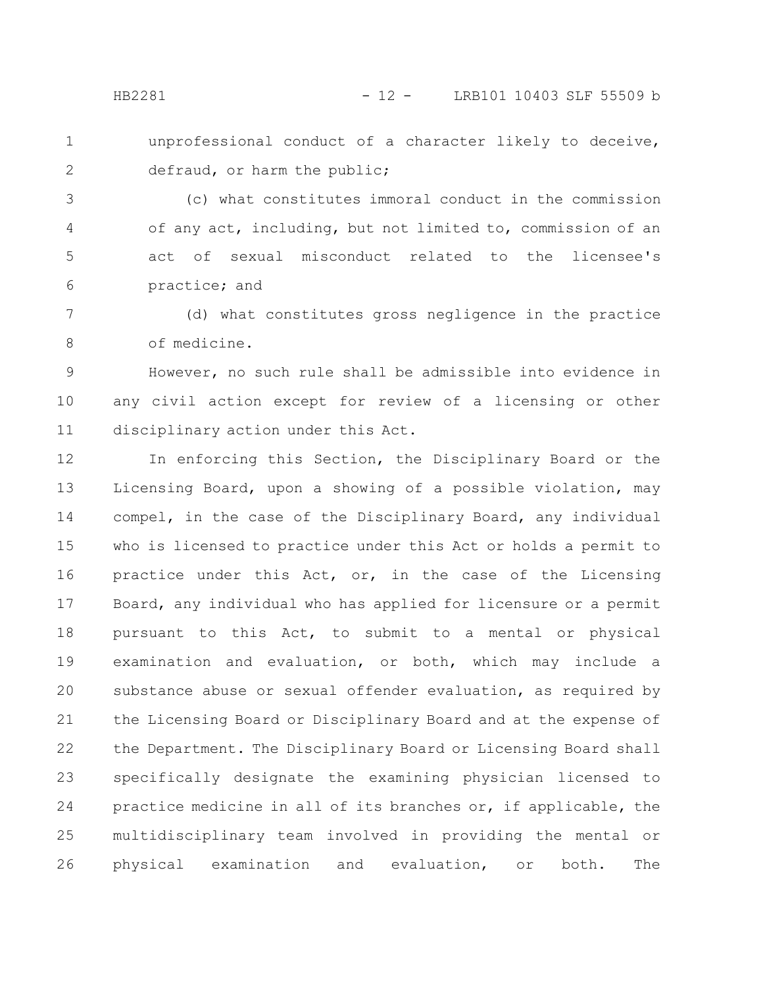unprofessional conduct of a character likely to deceive, defraud, or harm the public; 1 2

(c) what constitutes immoral conduct in the commission of any act, including, but not limited to, commission of an act of sexual misconduct related to the licensee's practice; and 3 4 5 6

(d) what constitutes gross negligence in the practice of medicine. 7 8

However, no such rule shall be admissible into evidence in any civil action except for review of a licensing or other disciplinary action under this Act. 9 10 11

In enforcing this Section, the Disciplinary Board or the Licensing Board, upon a showing of a possible violation, may compel, in the case of the Disciplinary Board, any individual who is licensed to practice under this Act or holds a permit to practice under this Act, or, in the case of the Licensing Board, any individual who has applied for licensure or a permit pursuant to this Act, to submit to a mental or physical examination and evaluation, or both, which may include a substance abuse or sexual offender evaluation, as required by the Licensing Board or Disciplinary Board and at the expense of the Department. The Disciplinary Board or Licensing Board shall specifically designate the examining physician licensed to practice medicine in all of its branches or, if applicable, the multidisciplinary team involved in providing the mental or physical examination and evaluation, or both. The 12 13 14 15 16 17 18 19 20 21 22 23 24 25 26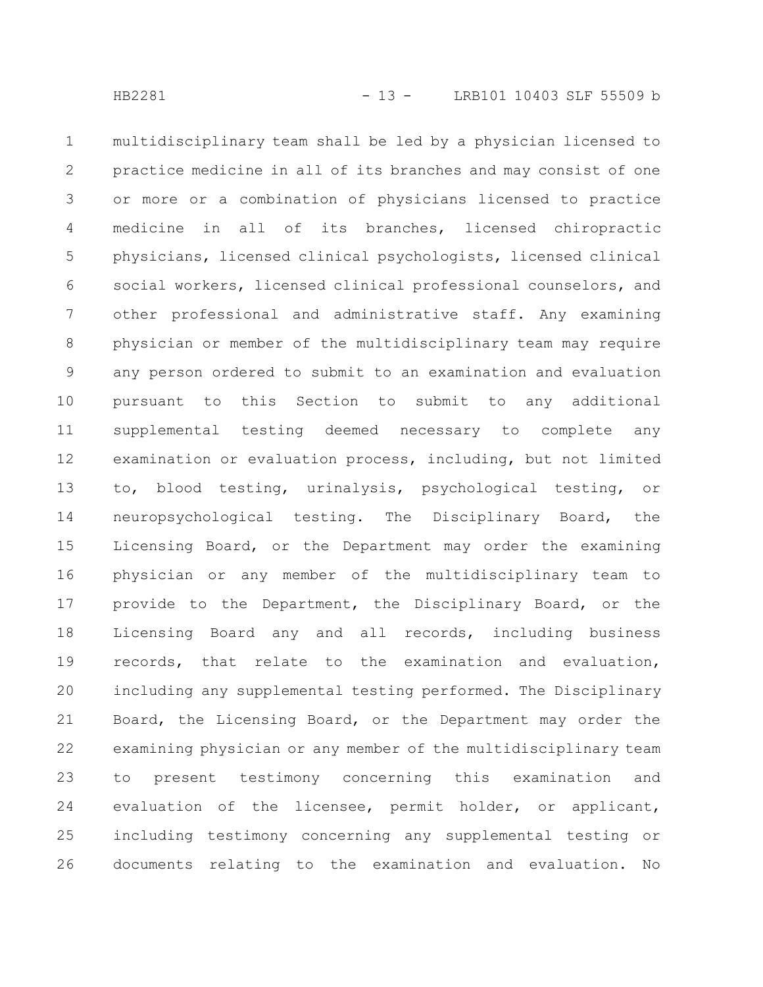multidisciplinary team shall be led by a physician licensed to practice medicine in all of its branches and may consist of one or more or a combination of physicians licensed to practice medicine in all of its branches, licensed chiropractic physicians, licensed clinical psychologists, licensed clinical social workers, licensed clinical professional counselors, and other professional and administrative staff. Any examining physician or member of the multidisciplinary team may require any person ordered to submit to an examination and evaluation pursuant to this Section to submit to any additional supplemental testing deemed necessary to complete any examination or evaluation process, including, but not limited to, blood testing, urinalysis, psychological testing, or neuropsychological testing. The Disciplinary Board, the Licensing Board, or the Department may order the examining physician or any member of the multidisciplinary team to provide to the Department, the Disciplinary Board, or the Licensing Board any and all records, including business records, that relate to the examination and evaluation, including any supplemental testing performed. The Disciplinary Board, the Licensing Board, or the Department may order the examining physician or any member of the multidisciplinary team to present testimony concerning this examination and evaluation of the licensee, permit holder, or applicant, including testimony concerning any supplemental testing or documents relating to the examination and evaluation. No 1 2 3 4 5 6 7 8 9 10 11 12 13 14 15 16 17 18 19 20 21 22 23 24 25 26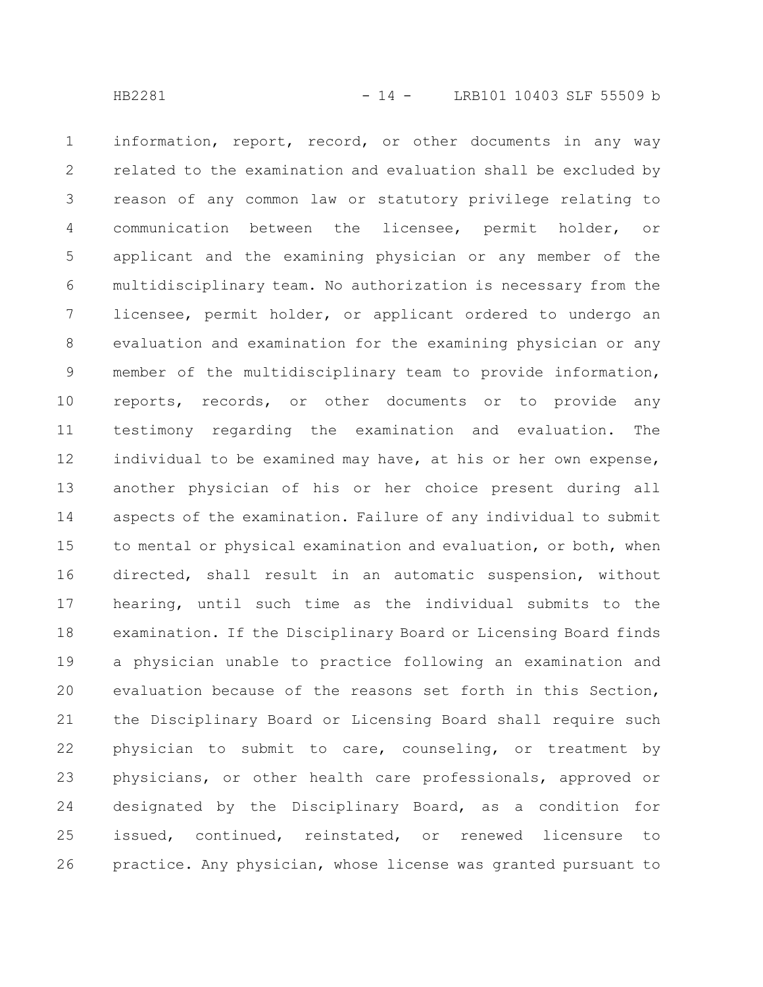information, report, record, or other documents in any way related to the examination and evaluation shall be excluded by reason of any common law or statutory privilege relating to communication between the licensee, permit holder, or applicant and the examining physician or any member of the multidisciplinary team. No authorization is necessary from the licensee, permit holder, or applicant ordered to undergo an evaluation and examination for the examining physician or any member of the multidisciplinary team to provide information, reports, records, or other documents or to provide any testimony regarding the examination and evaluation. The individual to be examined may have, at his or her own expense, another physician of his or her choice present during all aspects of the examination. Failure of any individual to submit to mental or physical examination and evaluation, or both, when directed, shall result in an automatic suspension, without hearing, until such time as the individual submits to the examination. If the Disciplinary Board or Licensing Board finds a physician unable to practice following an examination and evaluation because of the reasons set forth in this Section, the Disciplinary Board or Licensing Board shall require such physician to submit to care, counseling, or treatment by physicians, or other health care professionals, approved or designated by the Disciplinary Board, as a condition for issued, continued, reinstated, or renewed licensure to practice. Any physician, whose license was granted pursuant to 1 2 3 4 5 6 7 8 9 10 11 12 13 14 15 16 17 18 19 20 21 22 23 24 25 26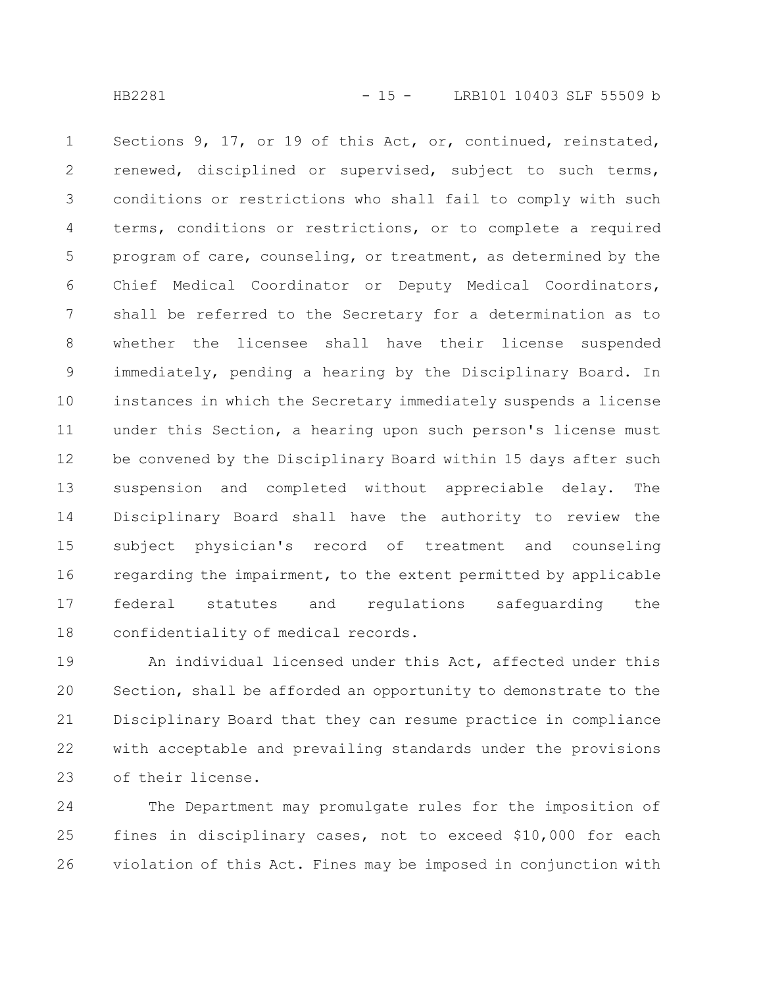Sections 9, 17, or 19 of this Act, or, continued, reinstated, renewed, disciplined or supervised, subject to such terms, conditions or restrictions who shall fail to comply with such terms, conditions or restrictions, or to complete a required program of care, counseling, or treatment, as determined by the Chief Medical Coordinator or Deputy Medical Coordinators, shall be referred to the Secretary for a determination as to whether the licensee shall have their license suspended immediately, pending a hearing by the Disciplinary Board. In instances in which the Secretary immediately suspends a license under this Section, a hearing upon such person's license must be convened by the Disciplinary Board within 15 days after such suspension and completed without appreciable delay. The Disciplinary Board shall have the authority to review the subject physician's record of treatment and counseling regarding the impairment, to the extent permitted by applicable federal statutes and regulations safeguarding the confidentiality of medical records. 1 2 3 4 5 6 7 8 9 10 11 12 13 14 15 16 17 18

An individual licensed under this Act, affected under this Section, shall be afforded an opportunity to demonstrate to the Disciplinary Board that they can resume practice in compliance with acceptable and prevailing standards under the provisions of their license. 19 20 21 22 23

The Department may promulgate rules for the imposition of fines in disciplinary cases, not to exceed \$10,000 for each violation of this Act. Fines may be imposed in conjunction with 24 25 26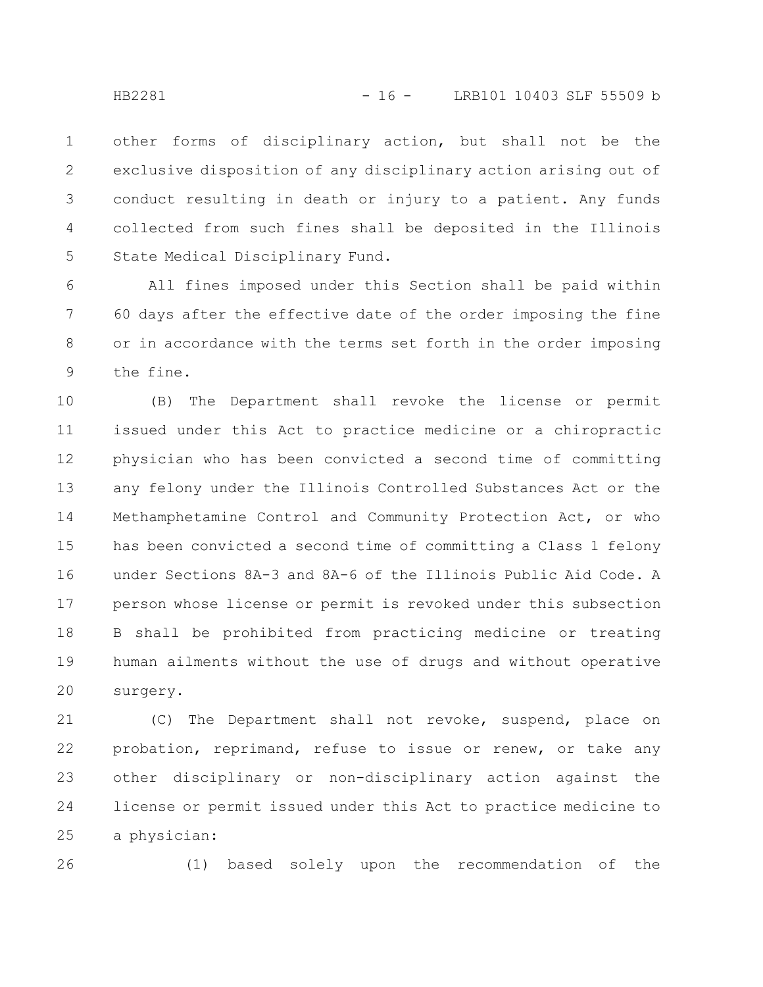other forms of disciplinary action, but shall not be the exclusive disposition of any disciplinary action arising out of conduct resulting in death or injury to a patient. Any funds collected from such fines shall be deposited in the Illinois State Medical Disciplinary Fund. 1 2 3 4 5

All fines imposed under this Section shall be paid within 60 days after the effective date of the order imposing the fine or in accordance with the terms set forth in the order imposing the fine. 6 7 8 9

(B) The Department shall revoke the license or permit issued under this Act to practice medicine or a chiropractic physician who has been convicted a second time of committing any felony under the Illinois Controlled Substances Act or the Methamphetamine Control and Community Protection Act, or who has been convicted a second time of committing a Class 1 felony under Sections 8A-3 and 8A-6 of the Illinois Public Aid Code. A person whose license or permit is revoked under this subsection B shall be prohibited from practicing medicine or treating human ailments without the use of drugs and without operative surgery. 10 11 12 13 14 15 16 17 18 19 20

(C) The Department shall not revoke, suspend, place on probation, reprimand, refuse to issue or renew, or take any other disciplinary or non-disciplinary action against the license or permit issued under this Act to practice medicine to a physician: 21 22 23 24 25

26

(1) based solely upon the recommendation of the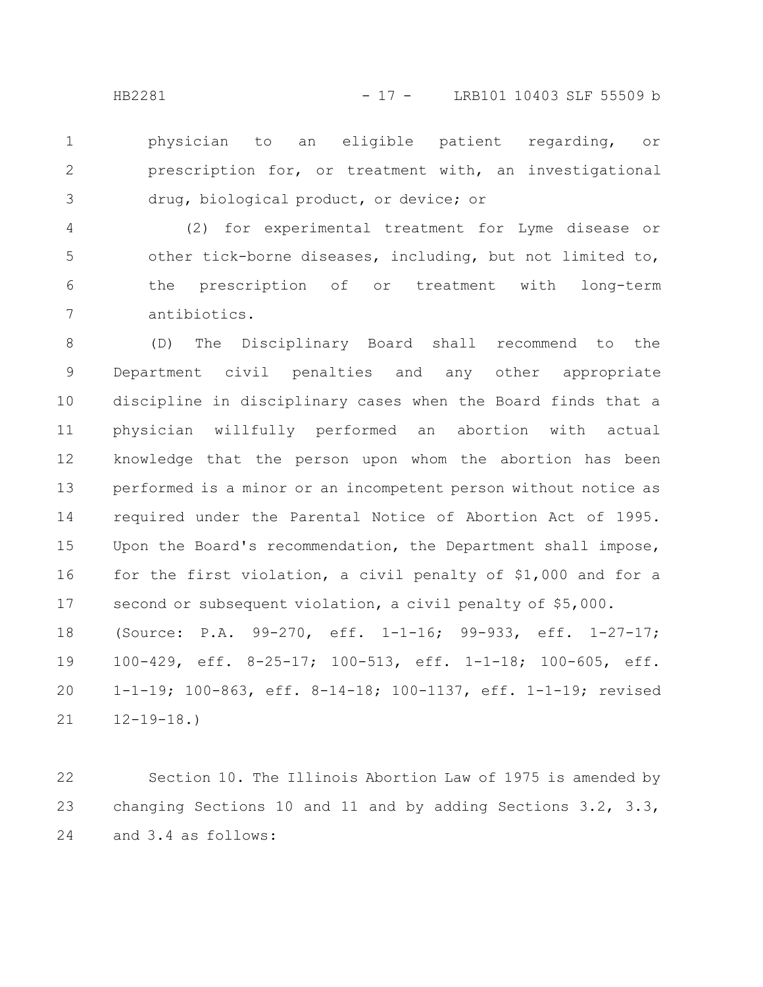physician to an eligible patient regarding, or prescription for, or treatment with, an investigational drug, biological product, or device; or 1 2 3

(2) for experimental treatment for Lyme disease or other tick-borne diseases, including, but not limited to, the prescription of or treatment with long-term antibiotics. 4 5 6 7

(D) The Disciplinary Board shall recommend to the Department civil penalties and any other appropriate discipline in disciplinary cases when the Board finds that a physician willfully performed an abortion with actual knowledge that the person upon whom the abortion has been performed is a minor or an incompetent person without notice as required under the Parental Notice of Abortion Act of 1995. Upon the Board's recommendation, the Department shall impose, for the first violation, a civil penalty of \$1,000 and for a second or subsequent violation, a civil penalty of \$5,000. (Source: P.A. 99-270, eff. 1-1-16; 99-933, eff. 1-27-17; 100-429, eff. 8-25-17; 100-513, eff. 1-1-18; 100-605, eff. 1-1-19; 100-863, eff. 8-14-18; 100-1137, eff. 1-1-19; revised 12-19-18.) 8 9 10 11 12 13 14 15 16 17 18 19 20 21

Section 10. The Illinois Abortion Law of 1975 is amended by changing Sections 10 and 11 and by adding Sections 3.2, 3.3, and 3.4 as follows: 22 23 24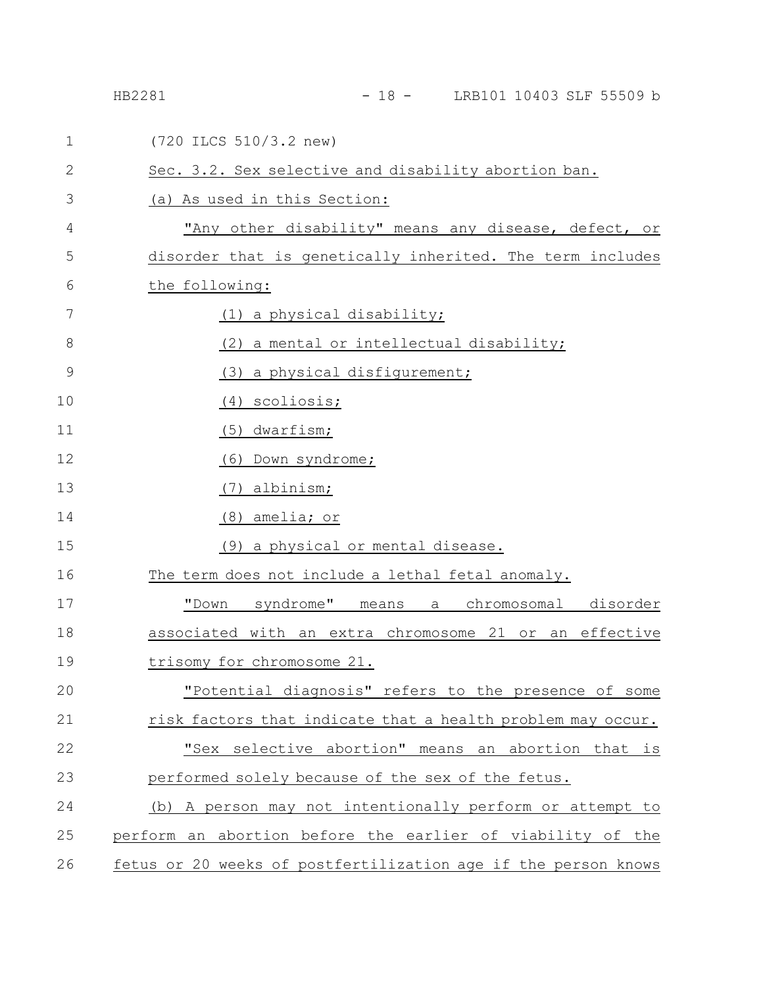| $\mathbf 1$  | (720 ILCS 510/3.2 new)                                         |
|--------------|----------------------------------------------------------------|
| $\mathbf{2}$ | Sec. 3.2. Sex selective and disability abortion ban.           |
| 3            | (a) As used in this Section:                                   |
| 4            | "Any other disability" means any disease, defect, or           |
| 5            | disorder that is genetically inherited. The term includes      |
| 6            | the following:                                                 |
| 7            | <u>(1) a physical disability;</u>                              |
| 8            | (2)<br>a mental or intellectual disability;                    |
| 9            | (3) a physical disfigurement;                                  |
| 10           | scoliosis;<br>(4)                                              |
| 11           | dwarfism;<br>(5)                                               |
| 12           | (6)<br>Down syndrome;                                          |
| 13           | albinism;<br>(7)                                               |
| 14           | (8) amelia; or                                                 |
| 15           | (9) a physical or mental disease.                              |
| 16           | The term does not include a lethal fetal anomaly.              |
| 17           | "Down syndrome" means<br>a chromosomal disorder                |
| 18           | associated with an extra chromosome 21 or an effective         |
| 19           | trisomy for chromosome 21.                                     |
| 20           | "Potential diagnosis" refers to the presence of some           |
| 21           | risk factors that indicate that a health problem may occur.    |
| 22           | "Sex selective abortion" means an abortion that is             |
| 23           | performed solely because of the sex of the fetus.              |
| 24           | (b) A person may not intentionally perform or attempt to       |
| 25           | perform an abortion before the earlier of viability of the     |
| 26           | fetus or 20 weeks of postfertilization age if the person knows |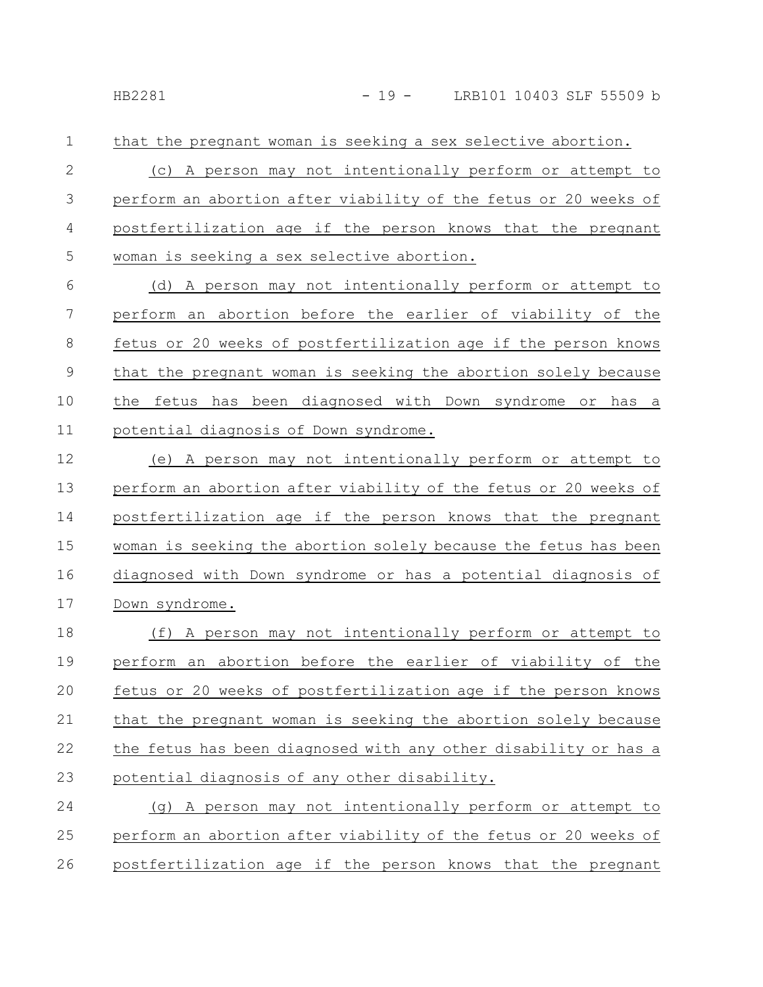that the pregnant woman is seeking a sex selective abortion. (c) A person may not intentionally perform or attempt to perform an abortion after viability of the fetus or 20 weeks of postfertilization age if the person knows that the pregnant woman is seeking a sex selective abortion. 1 2 3 4 5

(d) A person may not intentionally perform or attempt to perform an abortion before the earlier of viability of the fetus or 20 weeks of postfertilization age if the person knows that the pregnant woman is seeking the abortion solely because the fetus has been diagnosed with Down syndrome or has a potential diagnosis of Down syndrome. 6 7 8 9 10 11

(e) A person may not intentionally perform or attempt to perform an abortion after viability of the fetus or 20 weeks of postfertilization age if the person knows that the pregnant woman is seeking the abortion solely because the fetus has been diagnosed with Down syndrome or has a potential diagnosis of Down syndrome. 12 13 14 15 16 17

(f) A person may not intentionally perform or attempt to perform an abortion before the earlier of viability of the fetus or 20 weeks of postfertilization age if the person knows that the pregnant woman is seeking the abortion solely because the fetus has been diagnosed with any other disability or has a potential diagnosis of any other disability. 18 19 20 21 22 23

(g) A person may not intentionally perform or attempt to perform an abortion after viability of the fetus or 20 weeks of postfertilization age if the person knows that the pregnant 24 25 26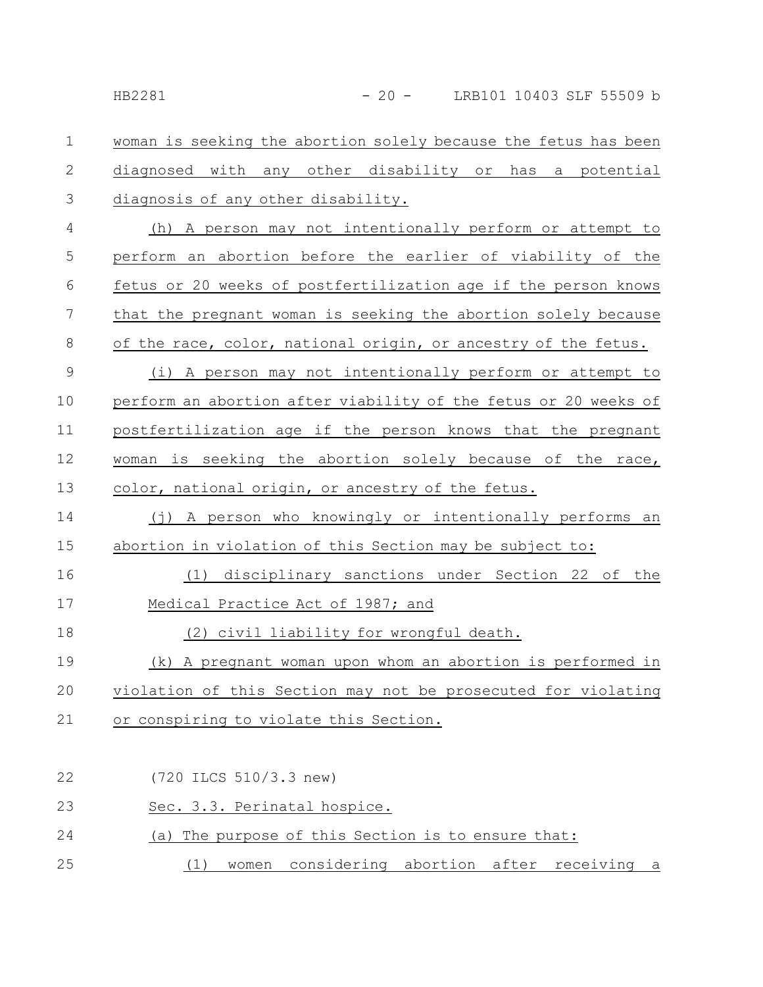woman is seeking the abortion solely because the fetus has been diagnosed with any other disability or has a potential diagnosis of any other disability. 1 2 3

(h) A person may not intentionally perform or attempt to perform an abortion before the earlier of viability of the fetus or 20 weeks of postfertilization age if the person knows that the pregnant woman is seeking the abortion solely because of the race, color, national origin, or ancestry of the fetus. 4 5 6 7 8

(i) A person may not intentionally perform or attempt to perform an abortion after viability of the fetus or 20 weeks of postfertilization age if the person knows that the pregnant woman is seeking the abortion solely because of the race, color, national origin, or ancestry of the fetus. 9 10 11 12 13

(j) A person who knowingly or intentionally performs an abortion in violation of this Section may be subject to: 14 15

(1) disciplinary sanctions under Section 22 of the Medical Practice Act of 1987; and 16 17

(2) civil liability for wrongful death. 18

(k) A pregnant woman upon whom an abortion is performed in violation of this Section may not be prosecuted for violating or conspiring to violate this Section. 19 20 21

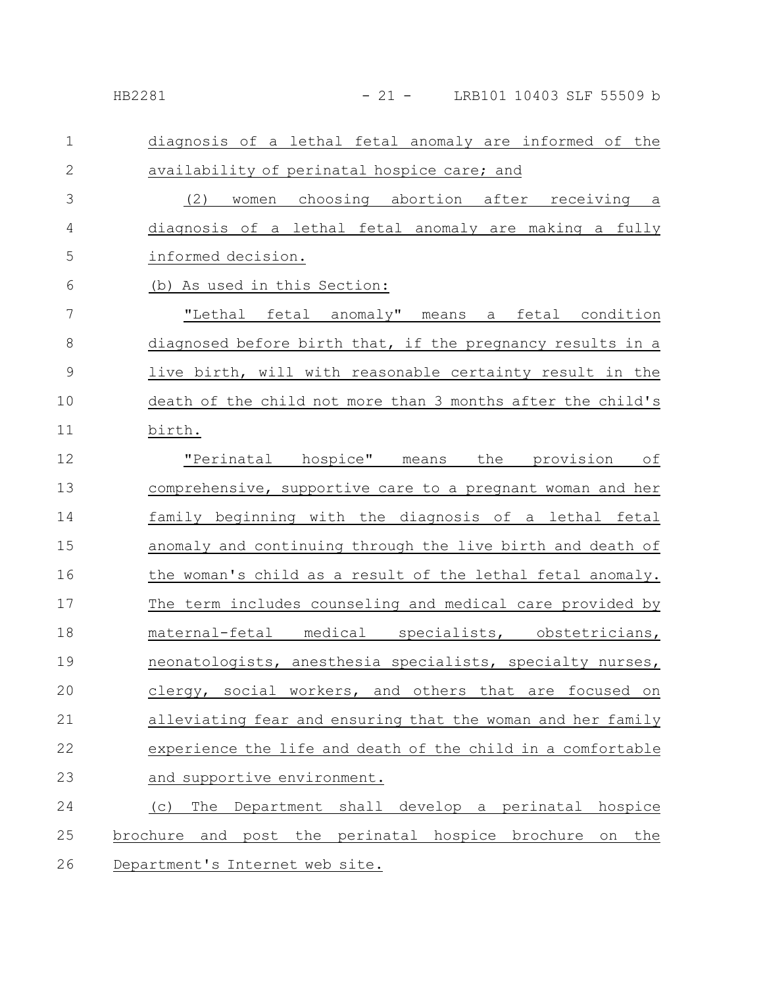# HB2281 - 21 - LRB101 10403 SLF 55509 b

| $\mathbf 1$   | diagnosis of a lethal fetal anomaly are informed of the          |
|---------------|------------------------------------------------------------------|
| $\mathbf{2}$  | availability of perinatal hospice care; and                      |
| 3             | women choosing abortion after receiving a<br>(2)                 |
| 4             | diagnosis of a lethal fetal anomaly are making a fully           |
| 5             | informed decision.                                               |
| 6             | (b) As used in this Section:                                     |
| 7             | "Lethal fetal anomaly" means a fetal condition                   |
| $8\,$         | diagnosed before birth that, if the pregnancy results in a       |
| $\mathcal{G}$ | live birth, will with reasonable certainty result in the         |
| 10            | death of the child not more than 3 months after the child's      |
| 11            | birth.                                                           |
| 12            | "Perinatal hospice" means the provision of                       |
| 13            | comprehensive, supportive care to a pregnant woman and her       |
| 14            | family beginning with the diagnosis of a lethal fetal            |
| 15            | anomaly and continuing through the live birth and death of       |
| 16            | the woman's child as a result of the lethal fetal anomaly.       |
| 17            | The term includes counseling and medical care provided by        |
| 18            | maternal-fetal medical specialists, obstetricians,               |
| 19            | neonatologists, anesthesia specialists, specialty nurses,        |
| 20            | clergy, social workers, and others that<br>are focused on        |
| 21            | alleviating fear and ensuring that the woman and her family      |
| 22            | experience the life and death of the child in a comfortable      |
| 23            | and supportive environment.                                      |
| 24            | Department shall develop a perinatal hospice<br>The<br>(C)       |
| 25            | and post the perinatal hospice brochure<br>the<br>brochure<br>on |
| 26            | Department's Internet web site.                                  |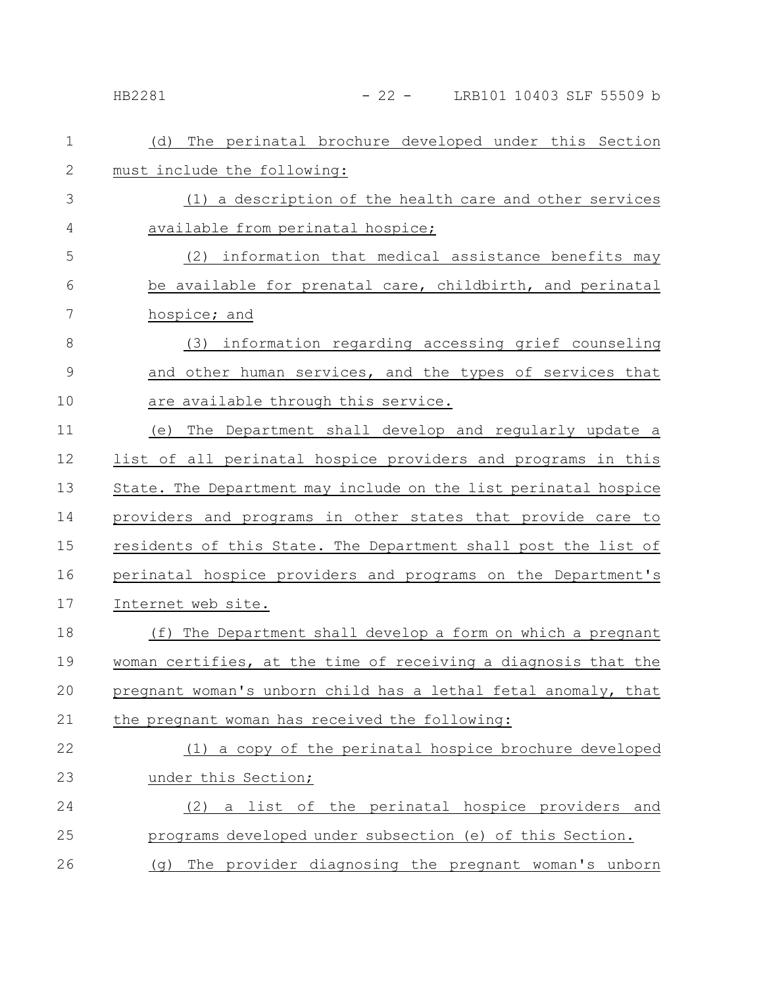### - 22 - LRB101 10403 SLF 55509 b

| $\mathbf 1$   | The perinatal brochure developed under this Section<br>(d)      |
|---------------|-----------------------------------------------------------------|
| $\mathbf{2}$  | must include the following:                                     |
| 3             | (1) a description of the health care and other services         |
| 4             | available from perinatal hospice;                               |
| 5             | (2) information that medical assistance benefits may            |
| 6             | be available for prenatal care, childbirth, and perinatal       |
| 7             | hospice; and                                                    |
| 8             | (3) information regarding accessing grief counseling            |
| $\mathcal{G}$ | and other human services, and the types of services that        |
| 10            | are available through this service.                             |
| 11            | The Department shall develop and regularly update a<br>(e)      |
| 12            | list of all perinatal hospice providers and programs in this    |
| 13            | State. The Department may include on the list perinatal hospice |
| 14            | providers and programs in other states that provide care to     |
| 15            | residents of this State. The Department shall post the list of  |
| 16            | perinatal hospice providers and programs on the Department's    |
| 17            | Internet web site.                                              |
| 18            | (f) The Department shall develop a form on which a pregnant     |
| 19            | woman certifies, at the time of receiving a diagnosis that the  |
| $20$          | pregnant woman's unborn child has a lethal fetal anomaly, that  |
| 21            | the pregnant woman has received the following:                  |
| 22            | (1) a copy of the perinatal hospice brochure developed          |
| 23            | under this Section;                                             |
| 24            | a list of the perinatal hospice providers and<br>(2)            |
| 25            | programs developed under subsection (e) of this Section.        |
| 26            | The provider diagnosing the pregnant woman's unborn<br>(q)      |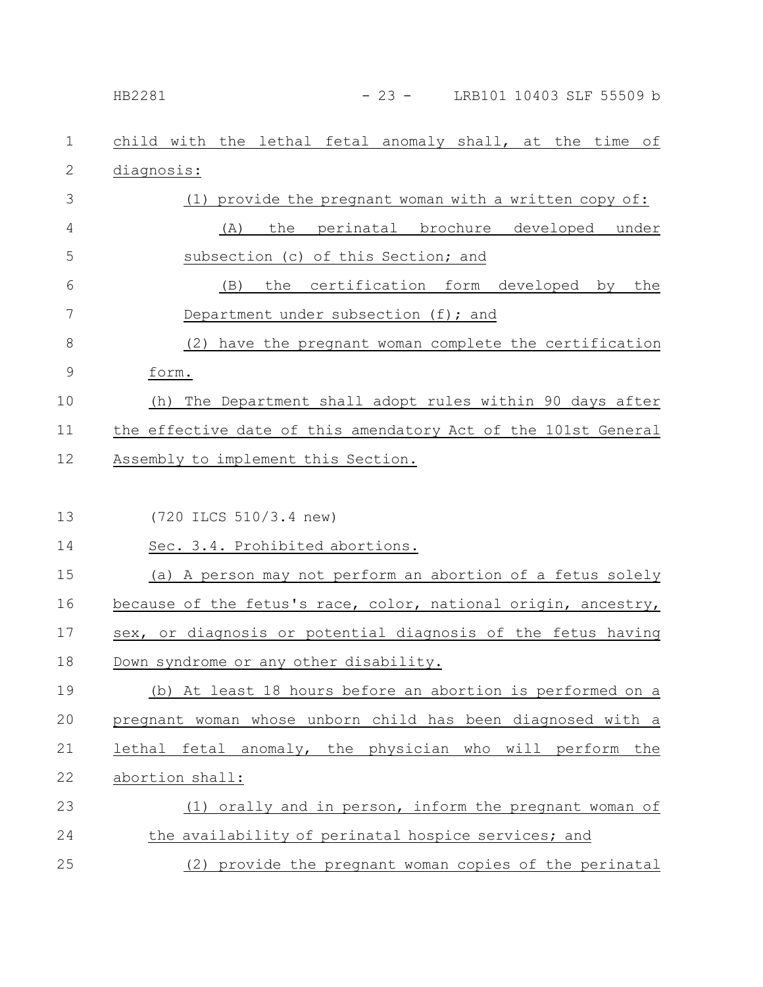| HB2281 | LRB101 10403 SLF 55509 b |  |
|--------|--------------------------|--|
|        |                          |  |

| 1             | child with the lethal fetal anomaly shall, at the time of      |
|---------------|----------------------------------------------------------------|
| $\mathbf{2}$  | diagnosis:                                                     |
| 3             | (1) provide the pregnant woman with a written copy of:         |
| 4             | perinatal brochure developed under<br>(A)<br>the               |
| 5             | subsection (c) of this Section; and                            |
| 6             | the certification form developed by the<br>(B)                 |
| 7             | Department under subsection (f); and                           |
| $8\,$         | (2) have the pregnant woman complete the certification         |
| $\mathcal{G}$ | form.                                                          |
| 10            | The Department shall adopt rules within 90 days after<br>(h)   |
| 11            | the effective date of this amendatory Act of the 101st General |
| 12            | Assembly to implement this Section.                            |
|               |                                                                |
| 13            | (720 ILCS 510/3.4 new)                                         |
| 14            | Sec. 3.4. Prohibited abortions.                                |
| 15            | (a) A person may not perform an abortion of a fetus solely     |
| 16            | because of the fetus's race, color, national origin, ancestry, |
| 17            | sex, or diagnosis or potential diagnosis of the fetus having   |
| 18            | Down syndrome or any other disability.                         |
| 19            | (b) At least 18 hours before an abortion is performed on a     |
| 20            | pregnant woman whose unborn child has been diagnosed with a    |
| 21            | lethal fetal anomaly, the physician who will perform the       |
| 22            | abortion shall:                                                |
| 23            | (1) orally and in person, inform the pregnant woman of         |
| 24            | the availability of perinatal hospice services; and            |
| 25            | (2) provide the pregnant woman copies of the perinatal         |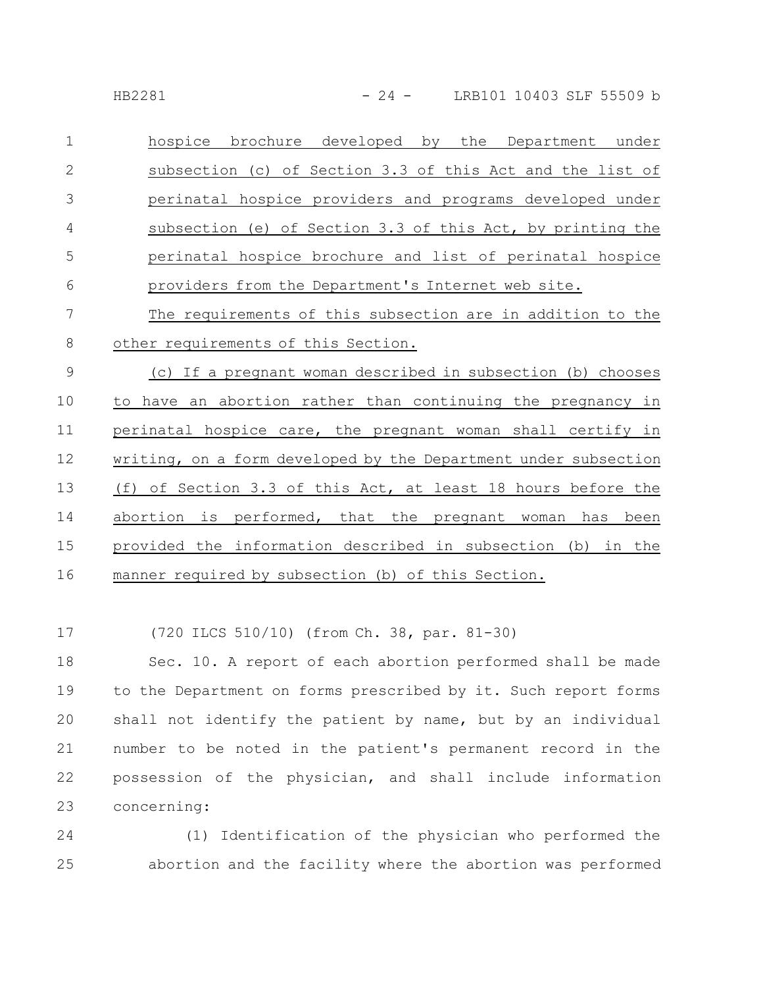| $\mathbf 1$    | hospice brochure developed by the Department under              |
|----------------|-----------------------------------------------------------------|
| $\mathbf{2}$   | subsection (c) of Section 3.3 of this Act and the list of       |
| 3              | perinatal hospice providers and programs developed under        |
| 4              | subsection (e) of Section 3.3 of this Act, by printing the      |
| 5              | perinatal hospice brochure and list of perinatal hospice        |
| 6              | providers from the Department's Internet web site.              |
| 7              | The requirements of this subsection are in addition to the      |
| 8              | other requirements of this Section.                             |
| $\overline{9}$ | (c) If a pregnant woman described in subsection (b) chooses     |
| 10             | to have an abortion rather than continuing the pregnancy in     |
| 11             | perinatal hospice care, the pregnant woman shall certify in     |
| 12             | writing, on a form developed by the Department under subsection |
| 13             | (f) of Section 3.3 of this Act, at least 18 hours before the    |

abortion is performed, that the pregnant woman has been provided the information described in subsection (b) in the manner required by subsection (b) of this Section. 14 15 16

(720 ILCS 510/10) (from Ch. 38, par. 81-30) 17

Sec. 10. A report of each abortion performed shall be made to the Department on forms prescribed by it. Such report forms shall not identify the patient by name, but by an individual number to be noted in the patient's permanent record in the possession of the physician, and shall include information concerning: 18 19 20 21 22 23

(1) Identification of the physician who performed the abortion and the facility where the abortion was performed 24 25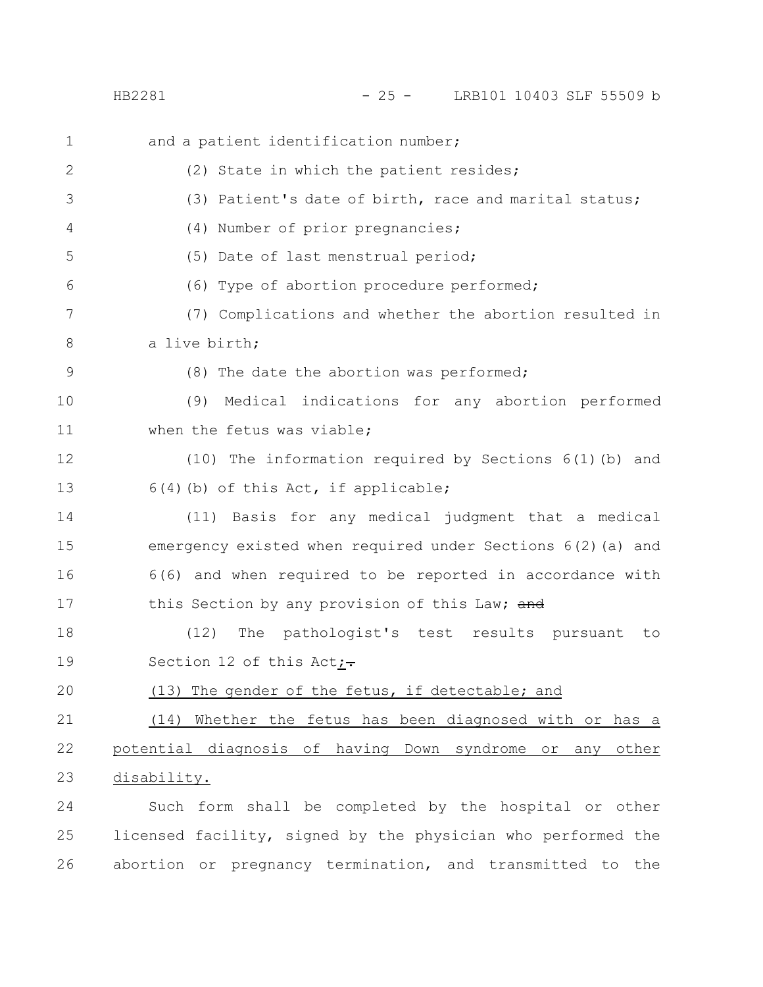HB2281 - 25 - LRB101 10403 SLF 55509 b

| $\mathbf 1$ | and a patient identification number;                           |
|-------------|----------------------------------------------------------------|
| 2           | (2) State in which the patient resides;                        |
| 3           | (3) Patient's date of birth, race and marital status;          |
| 4           | (4) Number of prior pregnancies;                               |
| 5           | (5) Date of last menstrual period;                             |
| 6           | (6) Type of abortion procedure performed;                      |
| 7           | (7) Complications and whether the abortion resulted in         |
| 8           | a live birth;                                                  |
| 9           | (8) The date the abortion was performed;                       |
| 10          | Medical indications for any abortion performed<br>(9)          |
| 11          | when the fetus was viable;                                     |
| 12          | (10) The information required by Sections 6(1)(b) and          |
| 13          | $6(4)$ (b) of this Act, if applicable;                         |
| 14          | (11) Basis for any medical judgment that a medical             |
| 15          | emergency existed when required under Sections 6(2) (a) and    |
| 16          | 6(6) and when required to be reported in accordance with       |
| 17          | this Section by any provision of this Law; and                 |
| 18          | (12)<br>The pathologist's test results pursuant<br>to          |
| 19          | Section 12 of this Act <sub>i</sub> -                          |
| 20          | (13) The gender of the fetus, if detectable; and               |
| 21          | (14) Whether the fetus has been diagnosed with or has a        |
| 22          | potential diagnosis of having Down syndrome<br>other<br>or any |
| 23          | disability.                                                    |
| 24          | Such form shall be completed by the hospital or other          |
| 25          | licensed facility, signed by the physician who performed the   |
| 26          | abortion or pregnancy termination, and transmitted to the      |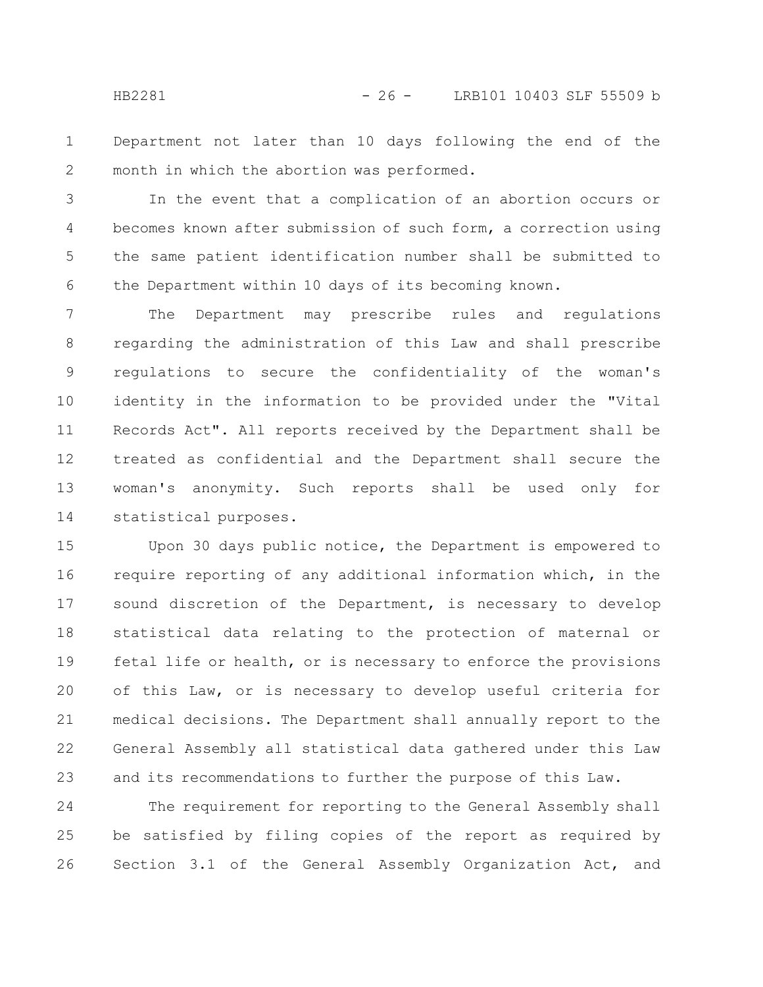Department not later than 10 days following the end of the month in which the abortion was performed. 1 2

In the event that a complication of an abortion occurs or becomes known after submission of such form, a correction using the same patient identification number shall be submitted to the Department within 10 days of its becoming known. 3 4 5 6

The Department may prescribe rules and regulations regarding the administration of this Law and shall prescribe regulations to secure the confidentiality of the woman's identity in the information to be provided under the "Vital Records Act". All reports received by the Department shall be treated as confidential and the Department shall secure the woman's anonymity. Such reports shall be used only for statistical purposes. 7 8 9 10 11 12 13 14

Upon 30 days public notice, the Department is empowered to require reporting of any additional information which, in the sound discretion of the Department, is necessary to develop statistical data relating to the protection of maternal or fetal life or health, or is necessary to enforce the provisions of this Law, or is necessary to develop useful criteria for medical decisions. The Department shall annually report to the General Assembly all statistical data gathered under this Law and its recommendations to further the purpose of this Law. 15 16 17 18 19 20 21 22 23

The requirement for reporting to the General Assembly shall be satisfied by filing copies of the report as required by Section 3.1 of the General Assembly Organization Act, and 24 25 26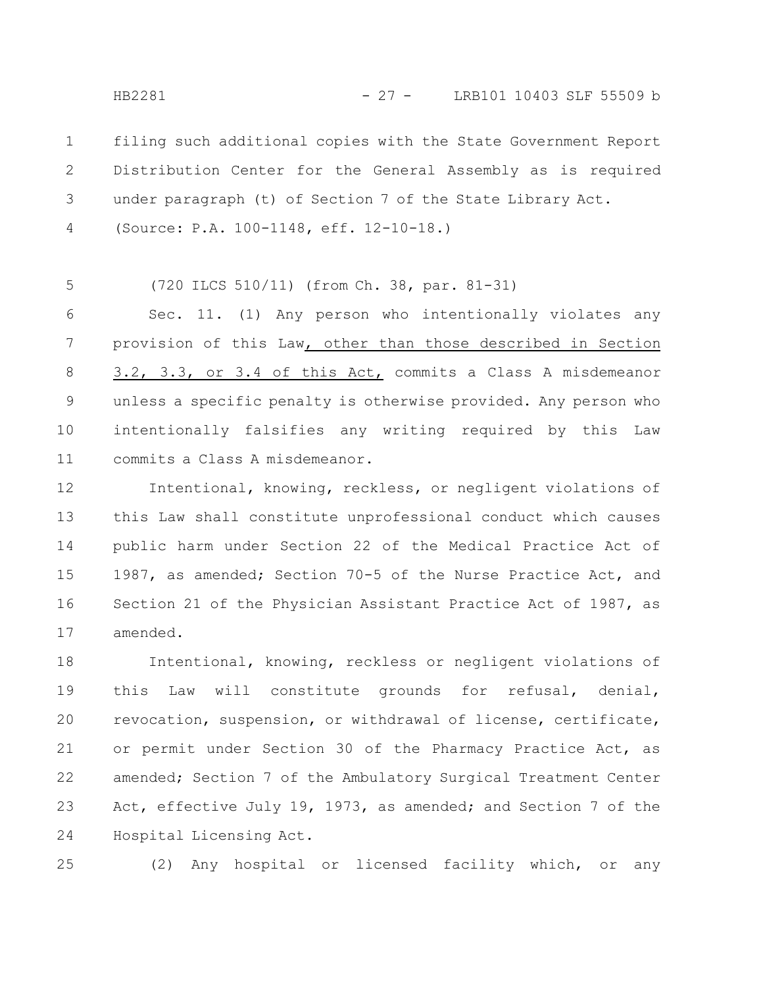filing such additional copies with the State Government Report Distribution Center for the General Assembly as is required under paragraph (t) of Section 7 of the State Library Act. 1 2 3

(Source: P.A. 100-1148, eff. 12-10-18.) 4

(720 ILCS 510/11) (from Ch. 38, par. 81-31) 5

Sec. 11. (1) Any person who intentionally violates any provision of this Law, other than those described in Section 3.2, 3.3, or 3.4 of this Act, commits a Class A misdemeanor unless a specific penalty is otherwise provided. Any person who intentionally falsifies any writing required by this Law commits a Class A misdemeanor. 6 7 8 9 10 11

Intentional, knowing, reckless, or negligent violations of this Law shall constitute unprofessional conduct which causes public harm under Section 22 of the Medical Practice Act of 1987, as amended; Section 70-5 of the Nurse Practice Act, and Section 21 of the Physician Assistant Practice Act of 1987, as amended. 12 13 14 15 16 17

Intentional, knowing, reckless or negligent violations of this Law will constitute grounds for refusal, denial, revocation, suspension, or withdrawal of license, certificate, or permit under Section 30 of the Pharmacy Practice Act, as amended; Section 7 of the Ambulatory Surgical Treatment Center Act, effective July 19, 1973, as amended; and Section 7 of the Hospital Licensing Act. 18 19 20 21 22 23 24

(2) Any hospital or licensed facility which, or any 25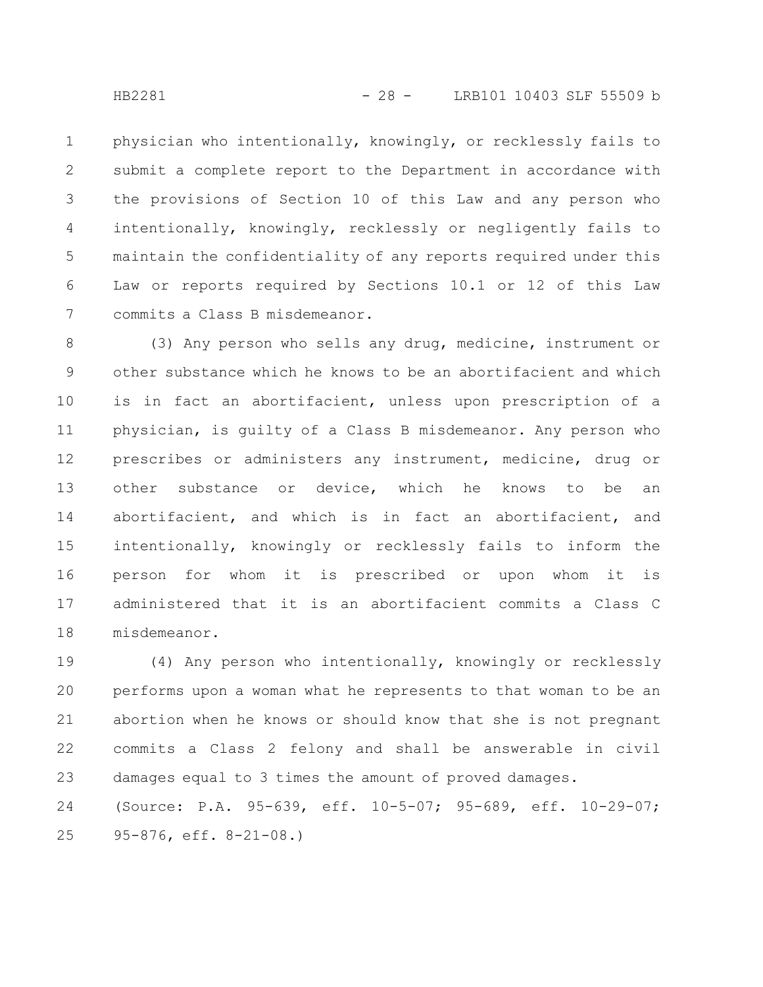physician who intentionally, knowingly, or recklessly fails to submit a complete report to the Department in accordance with the provisions of Section 10 of this Law and any person who intentionally, knowingly, recklessly or negligently fails to maintain the confidentiality of any reports required under this Law or reports required by Sections 10.1 or 12 of this Law commits a Class B misdemeanor. 1 2 3 4 5 6 7

(3) Any person who sells any drug, medicine, instrument or other substance which he knows to be an abortifacient and which is in fact an abortifacient, unless upon prescription of a physician, is guilty of a Class B misdemeanor. Any person who prescribes or administers any instrument, medicine, drug or other substance or device, which he knows to be an abortifacient, and which is in fact an abortifacient, and intentionally, knowingly or recklessly fails to inform the person for whom it is prescribed or upon whom it is administered that it is an abortifacient commits a Class C misdemeanor. 8 9 10 11 12 13 14 15 16 17 18

(4) Any person who intentionally, knowingly or recklessly performs upon a woman what he represents to that woman to be an abortion when he knows or should know that she is not pregnant commits a Class 2 felony and shall be answerable in civil damages equal to 3 times the amount of proved damages. (Source: P.A. 95-639, eff. 10-5-07; 95-689, eff. 10-29-07; 19 20 21 22 23 24

95-876, eff. 8-21-08.) 25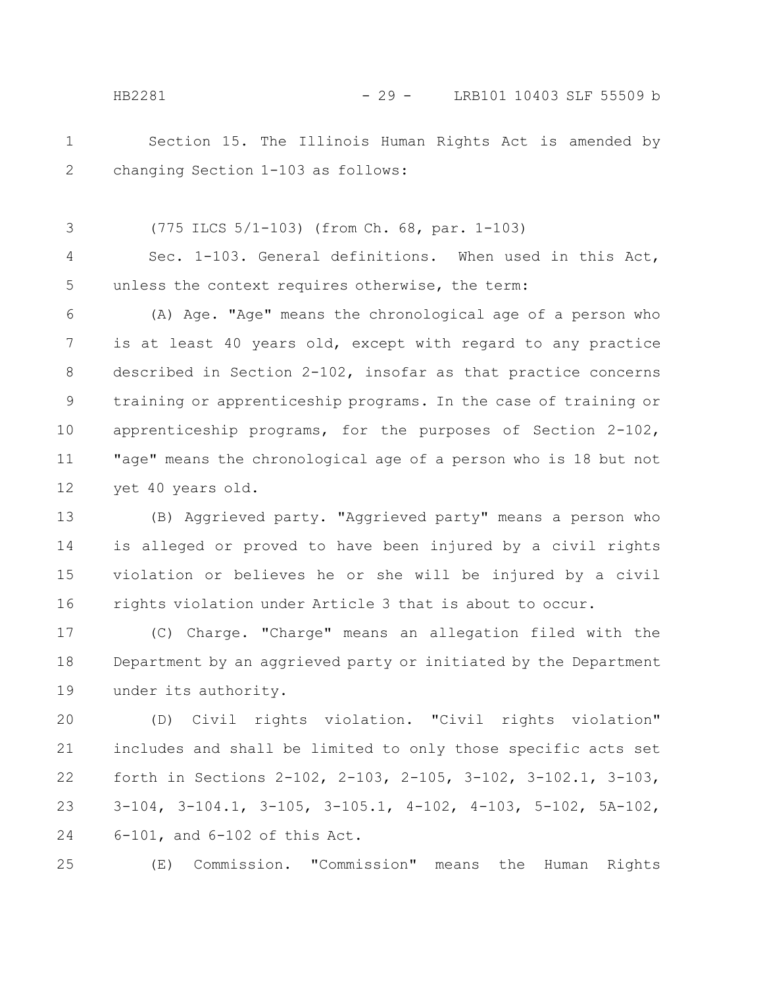Section 15. The Illinois Human Rights Act is amended by changing Section 1-103 as follows: 1 2

(775 ILCS 5/1-103) (from Ch. 68, par. 1-103) 3

Sec. 1-103. General definitions. When used in this Act, unless the context requires otherwise, the term: 4 5

(A) Age. "Age" means the chronological age of a person who is at least 40 years old, except with regard to any practice described in Section 2-102, insofar as that practice concerns training or apprenticeship programs. In the case of training or apprenticeship programs, for the purposes of Section 2-102, "age" means the chronological age of a person who is 18 but not yet 40 years old. 6 7 8 9 10 11 12

(B) Aggrieved party. "Aggrieved party" means a person who is alleged or proved to have been injured by a civil rights violation or believes he or she will be injured by a civil rights violation under Article 3 that is about to occur. 13 14 15 16

(C) Charge. "Charge" means an allegation filed with the Department by an aggrieved party or initiated by the Department under its authority. 17 18 19

(D) Civil rights violation. "Civil rights violation" includes and shall be limited to only those specific acts set forth in Sections 2-102, 2-103, 2-105, 3-102, 3-102.1, 3-103, 3-104, 3-104.1, 3-105, 3-105.1, 4-102, 4-103, 5-102, 5A-102, 6-101, and 6-102 of this Act. 20 21 22 23 24

(E) Commission. "Commission" means the Human Rights 25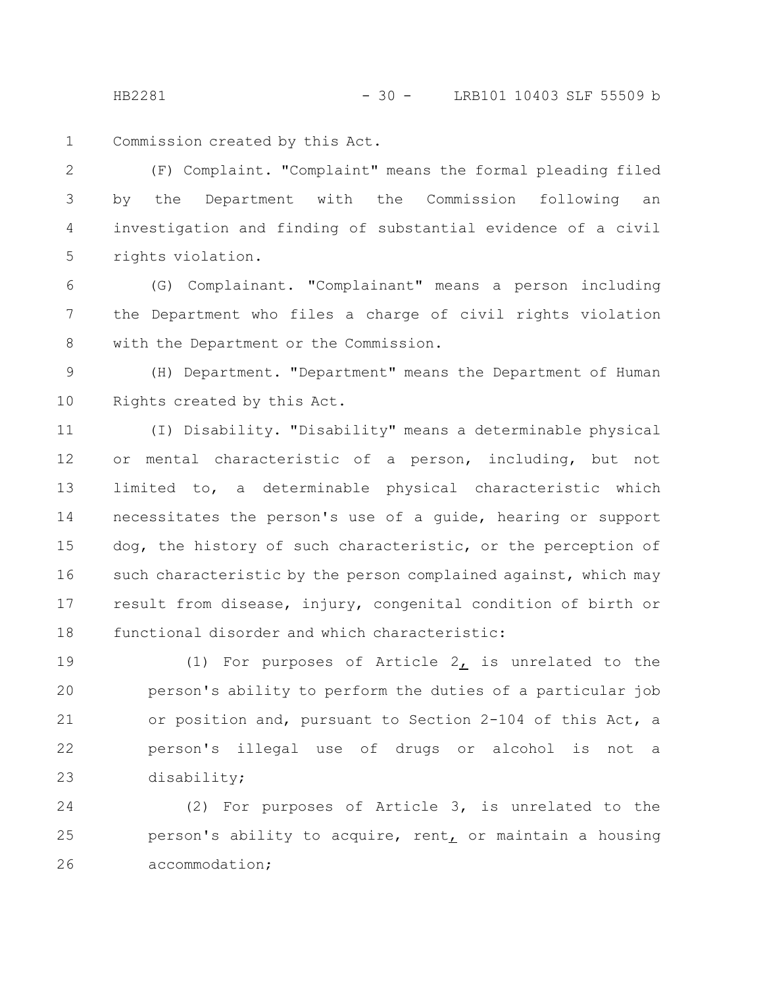HB2281 - 30 - LRB101 10403 SLF 55509 b

Commission created by this Act. 1

(F) Complaint. "Complaint" means the formal pleading filed by the Department with the Commission following an investigation and finding of substantial evidence of a civil rights violation. 2 3 4 5

(G) Complainant. "Complainant" means a person including the Department who files a charge of civil rights violation with the Department or the Commission. 6 7 8

(H) Department. "Department" means the Department of Human Rights created by this Act. 9 10

(I) Disability. "Disability" means a determinable physical or mental characteristic of a person, including, but not limited to, a determinable physical characteristic which necessitates the person's use of a guide, hearing or support dog, the history of such characteristic, or the perception of such characteristic by the person complained against, which may result from disease, injury, congenital condition of birth or functional disorder and which characteristic: 11 12 13 14 15 16 17 18

(1) For purposes of Article  $2_L$  is unrelated to the person's ability to perform the duties of a particular job or position and, pursuant to Section 2-104 of this Act, a person's illegal use of drugs or alcohol is not a disability; 19 20 21 22 23

(2) For purposes of Article 3, is unrelated to the person's ability to acquire, rent, or maintain a housing accommodation; 24 25 26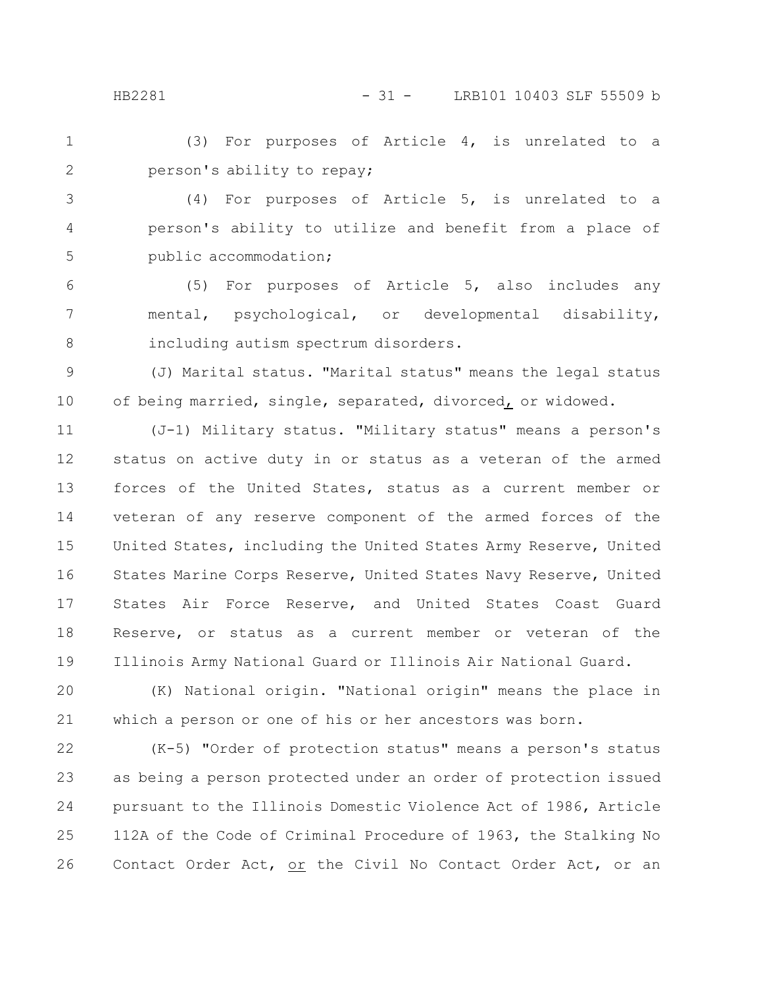HB2281 - 31 - LRB101 10403 SLF 55509 b

(3) For purposes of Article 4, is unrelated to a person's ability to repay; 1 2

(4) For purposes of Article 5, is unrelated to a person's ability to utilize and benefit from a place of public accommodation; 3 4 5

(5) For purposes of Article 5, also includes any mental, psychological, or developmental disability, including autism spectrum disorders. 6 7 8

(J) Marital status. "Marital status" means the legal status of being married, single, separated, divorced, or widowed. 9 10

(J-1) Military status. "Military status" means a person's status on active duty in or status as a veteran of the armed forces of the United States, status as a current member or veteran of any reserve component of the armed forces of the United States, including the United States Army Reserve, United States Marine Corps Reserve, United States Navy Reserve, United States Air Force Reserve, and United States Coast Guard Reserve, or status as a current member or veteran of the Illinois Army National Guard or Illinois Air National Guard. 11 12 13 14 15 16 17 18 19

(K) National origin. "National origin" means the place in which a person or one of his or her ancestors was born. 20 21

(K-5) "Order of protection status" means a person's status as being a person protected under an order of protection issued pursuant to the Illinois Domestic Violence Act of 1986, Article 112A of the Code of Criminal Procedure of 1963, the Stalking No Contact Order Act, or the Civil No Contact Order Act, or an 22 23 24 25 26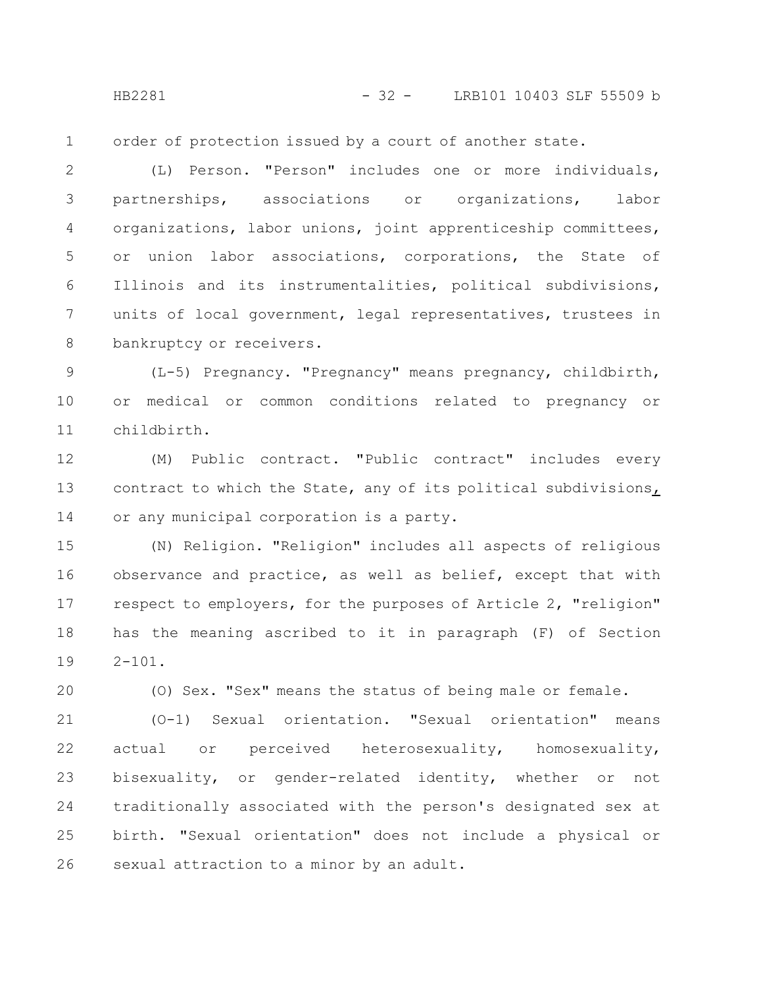HB2281 - 32 - LRB101 10403 SLF 55509 b

order of protection issued by a court of another state. 1

(L) Person. "Person" includes one or more individuals, partnerships, associations or organizations, labor organizations, labor unions, joint apprenticeship committees, or union labor associations, corporations, the State of Illinois and its instrumentalities, political subdivisions, units of local government, legal representatives, trustees in bankruptcy or receivers. 2 3 4 5 6 7 8

(L-5) Pregnancy. "Pregnancy" means pregnancy, childbirth, or medical or common conditions related to pregnancy or childbirth. 9 10 11

(M) Public contract. "Public contract" includes every contract to which the State, any of its political subdivisions, or any municipal corporation is a party. 12 13 14

(N) Religion. "Religion" includes all aspects of religious observance and practice, as well as belief, except that with respect to employers, for the purposes of Article 2, "religion" has the meaning ascribed to it in paragraph (F) of Section  $2 - 101$ . 15 16 17 18 19

(O) Sex. "Sex" means the status of being male or female.

20

(O-1) Sexual orientation. "Sexual orientation" means actual or perceived heterosexuality, homosexuality, bisexuality, or gender-related identity, whether or not traditionally associated with the person's designated sex at birth. "Sexual orientation" does not include a physical or sexual attraction to a minor by an adult. 21 22 23 24 25 26